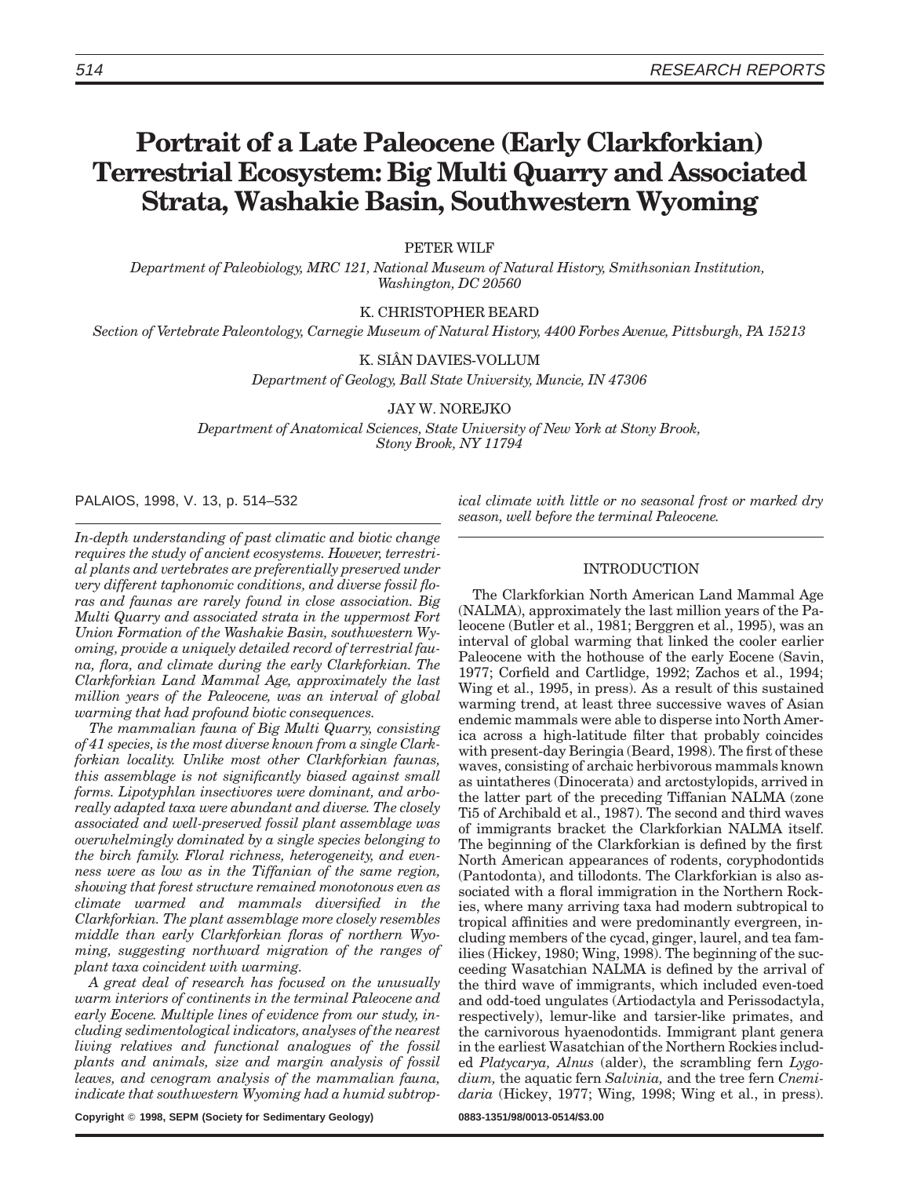# **Portrait of a Late Paleocene (Early Clarkforkian) Terrestrial Ecosystem: Big Multi Quarry and Associated Strata, Washakie Basin, Southwestern Wyoming**

PETER WILF

*Department of Paleobiology, MRC 121, National Museum of Natural History, Smithsonian Institution, Washington, DC 20560*

K. CHRISTOPHER BEARD

*Section of Vertebrate Paleontology, Carnegie Museum of Natural History, 4400 Forbes Avenue, Pittsburgh, PA 15213*

K. SIÂN DAVIES-VOLLUM

*Department of Geology, Ball State University, Muncie, IN 47306*

JAY W. NOREJKO

*Department of Anatomical Sciences, State University of New York at Stony Brook, Stony Brook, NY 11794*

PALAIOS, 1998, V. 13, p. 514–532

*In-depth understanding of past climatic and biotic change requires the study of ancient ecosystems. However, terrestrial plants and vertebrates are preferentially preserved under very different taphonomic conditions, and diverse fossil floras and faunas are rarely found in close association. Big Multi Quarry and associated strata in the uppermost Fort Union Formation of the Washakie Basin, southwestern Wyoming, provide a uniquely detailed record of terrestrial fauna, flora, and climate during the early Clarkforkian. The Clarkforkian Land Mammal Age, approximately the last million years of the Paleocene, was an interval of global warming that had profound biotic consequences.*

*The mammalian fauna of Big Multi Quarry, consisting of 41 species, is the most diverse known from a single Clarkforkian locality. Unlike most other Clarkforkian faunas, this assemblage is not significantly biased against small forms. Lipotyphlan insectivores were dominant, and arboreally adapted taxa were abundant and diverse. The closely associated and well-preserved fossil plant assemblage was overwhelmingly dominated by a single species belonging to the birch family. Floral richness, heterogeneity, and evenness were as low as in the Tiffanian of the same region, showing that forest structure remained monotonous even as climate warmed and mammals diversified in the Clarkforkian. The plant assemblage more closely resembles middle than early Clarkforkian floras of northern Wyoming, suggesting northward migration of the ranges of plant taxa coincident with warming.*

*A great deal of research has focused on the unusually warm interiors of continents in the terminal Paleocene and early Eocene. Multiple lines of evidence from our study, including sedimentological indicators, analyses of the nearest living relatives and functional analogues of the fossil plants and animals, size and margin analysis of fossil leaves, and cenogram analysis of the mammalian fauna, indicate that southwestern Wyoming had a humid subtrop-* *ical climate with little or no seasonal frost or marked dry season, well before the terminal Paleocene.*

# INTRODUCTION

The Clarkforkian North American Land Mammal Age (NALMA), approximately the last million years of the Paleocene (Butler et al., 1981; Berggren et al., 1995), was an interval of global warming that linked the cooler earlier Paleocene with the hothouse of the early Eocene (Savin, 1977; Corfield and Cartlidge, 1992; Zachos et al., 1994; Wing et al., 1995, in press). As a result of this sustained warming trend, at least three successive waves of Asian endemic mammals were able to disperse into North America across a high-latitude filter that probably coincides with present-day Beringia (Beard, 1998). The first of these waves, consisting of archaic herbivorous mammals known as uintatheres (Dinocerata) and arctostylopids, arrived in the latter part of the preceding Tiffanian NALMA (zone Ti5 of Archibald et al., 1987). The second and third waves of immigrants bracket the Clarkforkian NALMA itself. The beginning of the Clarkforkian is defined by the first North American appearances of rodents, coryphodontids (Pantodonta), and tillodonts. The Clarkforkian is also associated with a floral immigration in the Northern Rockies, where many arriving taxa had modern subtropical to tropical affinities and were predominantly evergreen, including members of the cycad, ginger, laurel, and tea families (Hickey, 1980; Wing, 1998). The beginning of the succeeding Wasatchian NALMA is defined by the arrival of the third wave of immigrants, which included even-toed and odd-toed ungulates (Artiodactyla and Perissodactyla, respectively), lemur-like and tarsier-like primates, and the carnivorous hyaenodontids. Immigrant plant genera in the earliest Wasatchian of the Northern Rockies included *Platycarya, Alnus* (alder), the scrambling fern *Lygodium,* the aquatic fern *Salvinia,* and the tree fern *Cnemidaria* (Hickey, 1977; Wing, 1998; Wing et al., in press).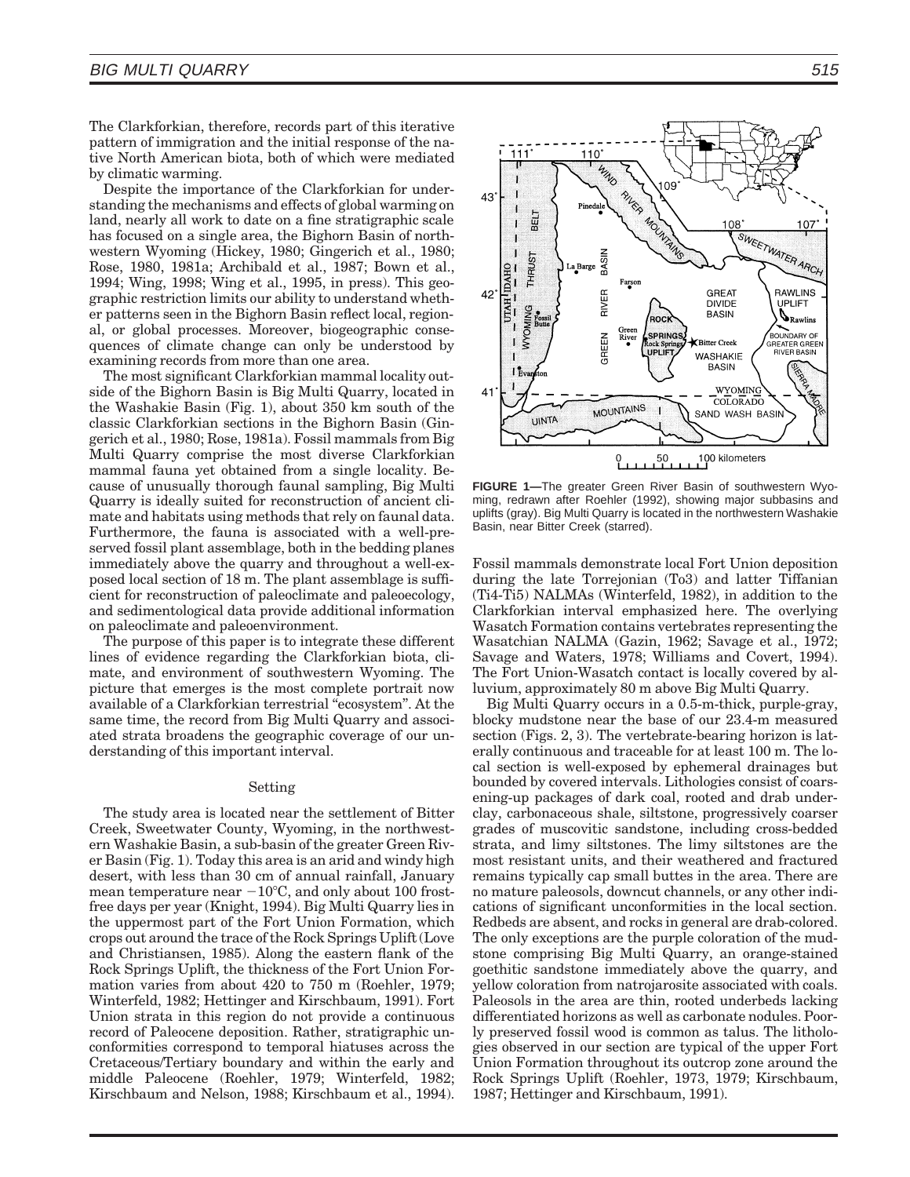The Clarkforkian, therefore, records part of this iterative pattern of immigration and the initial response of the native North American biota, both of which were mediated by climatic warming.

Despite the importance of the Clarkforkian for understanding the mechanisms and effects of global warming on land, nearly all work to date on a fine stratigraphic scale has focused on a single area, the Bighorn Basin of northwestern Wyoming (Hickey, 1980; Gingerich et al., 1980; Rose, 1980, 1981a; Archibald et al., 1987; Bown et al., 1994; Wing, 1998; Wing et al., 1995, in press). This geographic restriction limits our ability to understand whether patterns seen in the Bighorn Basin reflect local, regional, or global processes. Moreover, biogeographic consequences of climate change can only be understood by examining records from more than one area.

The most significant Clarkforkian mammal locality outside of the Bighorn Basin is Big Multi Quarry, located in the Washakie Basin (Fig. 1), about 350 km south of the classic Clarkforkian sections in the Bighorn Basin (Gingerich et al., 1980; Rose, 1981a). Fossil mammals from Big Multi Quarry comprise the most diverse Clarkforkian mammal fauna yet obtained from a single locality. Because of unusually thorough faunal sampling, Big Multi Quarry is ideally suited for reconstruction of ancient climate and habitats using methods that rely on faunal data. Furthermore, the fauna is associated with a well-preserved fossil plant assemblage, both in the bedding planes immediately above the quarry and throughout a well-exposed local section of 18 m. The plant assemblage is sufficient for reconstruction of paleoclimate and paleoecology, and sedimentological data provide additional information on paleoclimate and paleoenvironment.

The purpose of this paper is to integrate these different lines of evidence regarding the Clarkforkian biota, climate, and environment of southwestern Wyoming. The picture that emerges is the most complete portrait now available of a Clarkforkian terrestrial "ecosystem". At the same time, the record from Big Multi Quarry and associated strata broadens the geographic coverage of our understanding of this important interval.

#### Setting

The study area is located near the settlement of Bitter Creek, Sweetwater County, Wyoming, in the northwestern Washakie Basin, a sub-basin of the greater Green River Basin (Fig. 1). Today this area is an arid and windy high desert, with less than 30 cm of annual rainfall, January mean temperature near  $-10^{\circ}$ C, and only about 100 frostfree days per year (Knight, 1994). Big Multi Quarry lies in the uppermost part of the Fort Union Formation, which crops out around the trace of the Rock Springs Uplift (Love and Christiansen, 1985). Along the eastern flank of the Rock Springs Uplift, the thickness of the Fort Union Formation varies from about 420 to 750 m (Roehler, 1979; Winterfeld, 1982; Hettinger and Kirschbaum, 1991). Fort Union strata in this region do not provide a continuous record of Paleocene deposition. Rather, stratigraphic unconformities correspond to temporal hiatuses across the Cretaceous/Tertiary boundary and within the early and middle Paleocene (Roehler, 1979; Winterfeld, 1982; Kirschbaum and Nelson, 1988; Kirschbaum et al., 1994).



**FIGURE 1—**The greater Green River Basin of southwestern Wyoming, redrawn after Roehler (1992), showing major subbasins and uplifts (gray). Big Multi Quarry is located in the northwestern Washakie Basin, near Bitter Creek (starred).

Fossil mammals demonstrate local Fort Union deposition during the late Torrejonian (To3) and latter Tiffanian (Ti4-Ti5) NALMAs (Winterfeld, 1982), in addition to the Clarkforkian interval emphasized here. The overlying Wasatch Formation contains vertebrates representing the Wasatchian NALMA (Gazin, 1962; Savage et al., 1972; Savage and Waters, 1978; Williams and Covert, 1994). The Fort Union-Wasatch contact is locally covered by alluvium, approximately 80 m above Big Multi Quarry.

Big Multi Quarry occurs in a 0.5-m-thick, purple-gray, blocky mudstone near the base of our 23.4-m measured section (Figs. 2, 3). The vertebrate-bearing horizon is laterally continuous and traceable for at least 100 m. The local section is well-exposed by ephemeral drainages but bounded by covered intervals. Lithologies consist of coarsening-up packages of dark coal, rooted and drab underclay, carbonaceous shale, siltstone, progressively coarser grades of muscovitic sandstone, including cross-bedded strata, and limy siltstones. The limy siltstones are the most resistant units, and their weathered and fractured remains typically cap small buttes in the area. There are no mature paleosols, downcut channels, or any other indications of significant unconformities in the local section. Redbeds are absent, and rocks in general are drab-colored. The only exceptions are the purple coloration of the mudstone comprising Big Multi Quarry, an orange-stained goethitic sandstone immediately above the quarry, and yellow coloration from natrojarosite associated with coals. Paleosols in the area are thin, rooted underbeds lacking differentiated horizons as well as carbonate nodules. Poorly preserved fossil wood is common as talus. The lithologies observed in our section are typical of the upper Fort Union Formation throughout its outcrop zone around the Rock Springs Uplift (Roehler, 1973, 1979; Kirschbaum, 1987; Hettinger and Kirschbaum, 1991).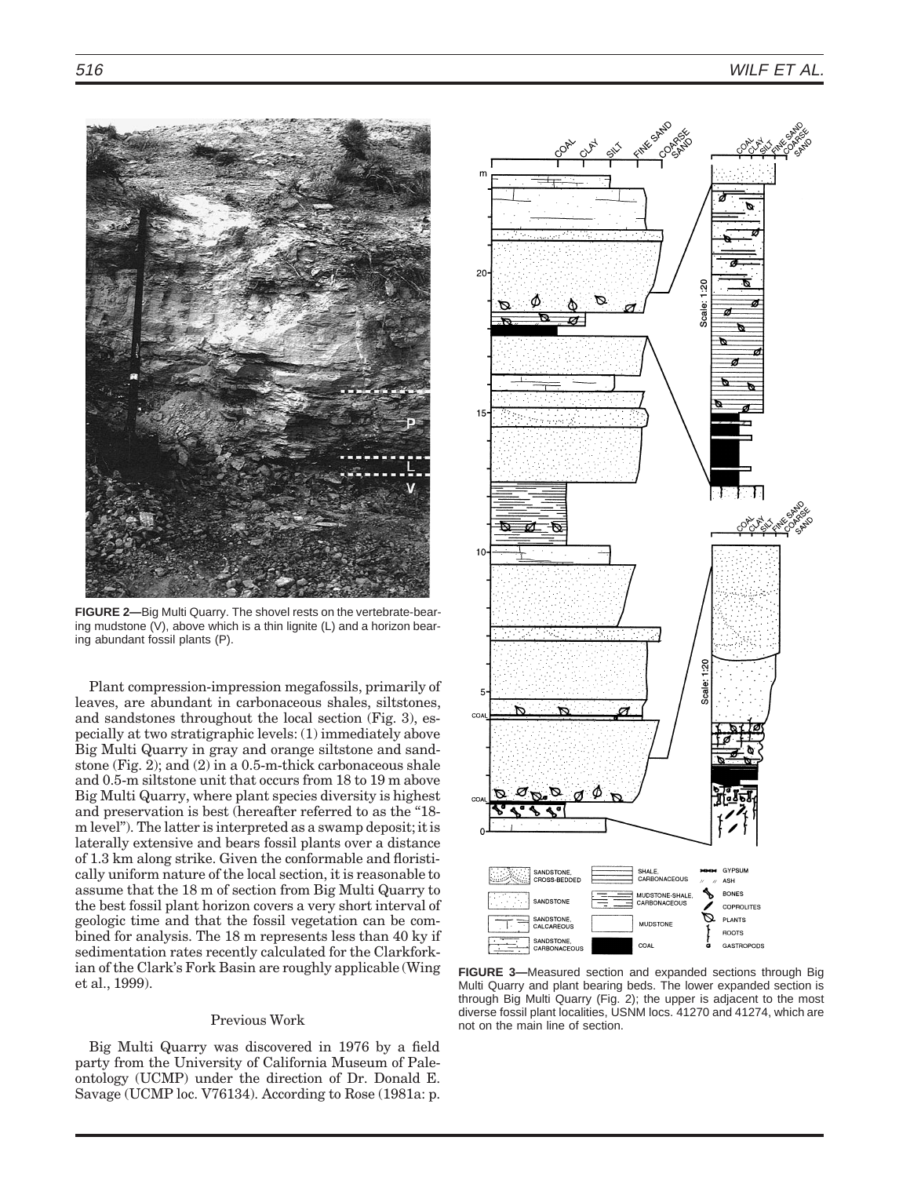

**FIGURE 2—**Big Multi Quarry. The shovel rests on the vertebrate-bearing mudstone (V), above which is a thin lignite (L) and a horizon bearing abundant fossil plants (P).

Plant compression-impression megafossils, primarily of leaves, are abundant in carbonaceous shales, siltstones, and sandstones throughout the local section (Fig. 3), especially at two stratigraphic levels: (1) immediately above Big Multi Quarry in gray and orange siltstone and sandstone (Fig. 2); and (2) in a 0.5-m-thick carbonaceous shale and 0.5-m siltstone unit that occurs from 18 to 19 m above Big Multi Quarry, where plant species diversity is highest and preservation is best (hereafter referred to as the "18m level''). The latter is interpreted as a swamp deposit; it is laterally extensive and bears fossil plants over a distance of 1.3 km along strike. Given the conformable and floristically uniform nature of the local section, it is reasonable to assume that the 18 m of section from Big Multi Quarry to the best fossil plant horizon covers a very short interval of geologic time and that the fossil vegetation can be combined for analysis. The 18 m represents less than 40 ky if sedimentation rates recently calculated for the Clarkforkian of the Clark's Fork Basin are roughly applicable (Wing et al., 1999).

# Previous Work

Big Multi Quarry was discovered in 1976 by a field party from the University of California Museum of Paleontology (UCMP) under the direction of Dr. Donald E. Savage (UCMP loc. V76134). According to Rose (1981a: p.



**FIGURE 3—**Measured section and expanded sections through Big Multi Quarry and plant bearing beds. The lower expanded section is through Big Multi Quarry (Fig. 2); the upper is adjacent to the most diverse fossil plant localities, USNM locs. 41270 and 41274, which are not on the main line of section.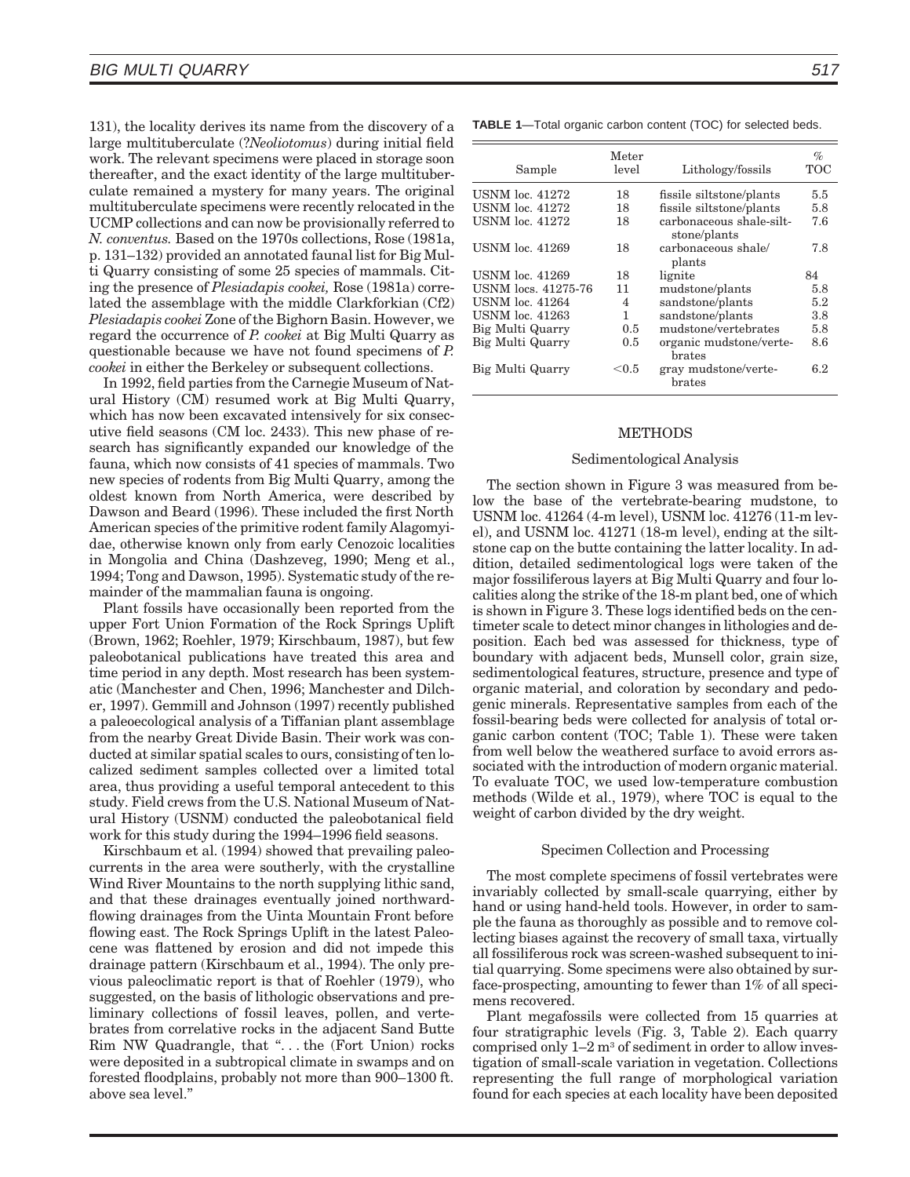131), the locality derives its name from the discovery of a large multituberculate (?*Neoliotomus*) during initial field work. The relevant specimens were placed in storage soon thereafter, and the exact identity of the large multituberculate remained a mystery for many years. The original multituberculate specimens were recently relocated in the UCMP collections and can now be provisionally referred to *N. conventus.* Based on the 1970s collections, Rose (1981a, p. 131–132) provided an annotated faunal list for Big Multi Quarry consisting of some 25 species of mammals. Citing the presence of *Plesiadapis cookei,* Rose (1981a) correlated the assemblage with the middle Clarkforkian (Cf2) *Plesiadapis cookei* Zone of the Bighorn Basin. However, we regard the occurrence of *P. cookei* at Big Multi Quarry as questionable because we have not found specimens of *P. cookei* in either the Berkeley or subsequent collections.

In 1992, field parties from the Carnegie Museum of Natural History (CM) resumed work at Big Multi Quarry, which has now been excavated intensively for six consecutive field seasons (CM loc. 2433). This new phase of research has significantly expanded our knowledge of the fauna, which now consists of 41 species of mammals. Two new species of rodents from Big Multi Quarry, among the oldest known from North America, were described by Dawson and Beard (1996). These included the first North American species of the primitive rodent family Alagomyidae, otherwise known only from early Cenozoic localities in Mongolia and China (Dashzeveg, 1990; Meng et al., 1994; Tong and Dawson, 1995). Systematic study of the remainder of the mammalian fauna is ongoing.

Plant fossils have occasionally been reported from the upper Fort Union Formation of the Rock Springs Uplift (Brown, 1962; Roehler, 1979; Kirschbaum, 1987), but few paleobotanical publications have treated this area and time period in any depth. Most research has been systematic (Manchester and Chen, 1996; Manchester and Dilcher, 1997). Gemmill and Johnson (1997) recently published a paleoecological analysis of a Tiffanian plant assemblage from the nearby Great Divide Basin. Their work was conducted at similar spatial scales to ours, consisting of ten localized sediment samples collected over a limited total area, thus providing a useful temporal antecedent to this study. Field crews from the U.S. National Museum of Natural History (USNM) conducted the paleobotanical field work for this study during the 1994–1996 field seasons.

Kirschbaum et al. (1994) showed that prevailing paleocurrents in the area were southerly, with the crystalline Wind River Mountains to the north supplying lithic sand, and that these drainages eventually joined northwardflowing drainages from the Uinta Mountain Front before flowing east. The Rock Springs Uplift in the latest Paleocene was flattened by erosion and did not impede this drainage pattern (Kirschbaum et al., 1994). The only previous paleoclimatic report is that of Roehler (1979), who suggested, on the basis of lithologic observations and preliminary collections of fossil leaves, pollen, and vertebrates from correlative rocks in the adjacent Sand Butte Rim NW Quadrangle, that ''. . . the (Fort Union) rocks were deposited in a subtropical climate in swamps and on forested floodplains, probably not more than 900–1300 ft. above sea level.''

**TABLE 1**—Total organic carbon content (TOC) for selected beds.

| Sample                 | Meter<br>level | Lithology/fossils                        | $\%$<br>TOC |
|------------------------|----------------|------------------------------------------|-------------|
| <b>USNM</b> loc. 41272 | 18             | fissile siltstone/plants                 | 5.5         |
| <b>USNM</b> loc. 41272 | 18             | fissile siltstone/plants                 | 5.8         |
| <b>USNM</b> loc. 41272 | 18             | carbonaceous shale-silt-<br>stone/plants | 7.6         |
| <b>USNM</b> loc. 41269 | 18             | carbonaceous shale/<br>plants            | 7.8         |
| USNM loc. 41269        | 18             | lignite                                  | 84          |
| USNM locs, 41275-76    | 11             | mudstone/plants                          | 5.8         |
| <b>USNM</b> loc. 41264 | 4              | sandstone/plants                         | 5.2         |
| <b>USNM</b> loc. 41263 | 1              | sandstone/plants                         | 3.8         |
| Big Multi Quarry       | $0.5^{\circ}$  | mudstone/vertebrates                     | 5.8         |
| Big Multi Quarry       | 0.5            | organic mudstone/verte-<br>brates        | 8.6         |
| Big Multi Quarry       | ${<}0.5$       | gray mudstone/verte-<br>brates           | 6.2         |

## **METHODS**

## Sedimentological Analysis

The section shown in Figure 3 was measured from below the base of the vertebrate-bearing mudstone, to USNM loc. 41264 (4-m level), USNM loc. 41276 (11-m level), and USNM loc. 41271 (18-m level), ending at the siltstone cap on the butte containing the latter locality. In addition, detailed sedimentological logs were taken of the major fossiliferous layers at Big Multi Quarry and four localities along the strike of the 18-m plant bed, one of which is shown in Figure 3. These logs identified beds on the centimeter scale to detect minor changes in lithologies and deposition. Each bed was assessed for thickness, type of boundary with adjacent beds, Munsell color, grain size, sedimentological features, structure, presence and type of organic material, and coloration by secondary and pedogenic minerals. Representative samples from each of the fossil-bearing beds were collected for analysis of total organic carbon content (TOC; Table 1). These were taken from well below the weathered surface to avoid errors associated with the introduction of modern organic material. To evaluate TOC, we used low-temperature combustion methods (Wilde et al., 1979), where TOC is equal to the weight of carbon divided by the dry weight.

#### Specimen Collection and Processing

The most complete specimens of fossil vertebrates were invariably collected by small-scale quarrying, either by hand or using hand-held tools. However, in order to sample the fauna as thoroughly as possible and to remove collecting biases against the recovery of small taxa, virtually all fossiliferous rock was screen-washed subsequent to initial quarrying. Some specimens were also obtained by surface-prospecting, amounting to fewer than 1% of all specimens recovered.

Plant megafossils were collected from 15 quarries at four stratigraphic levels (Fig. 3, Table 2). Each quarry comprised only  $1-2$  m<sup>3</sup> of sediment in order to allow investigation of small-scale variation in vegetation. Collections representing the full range of morphological variation found for each species at each locality have been deposited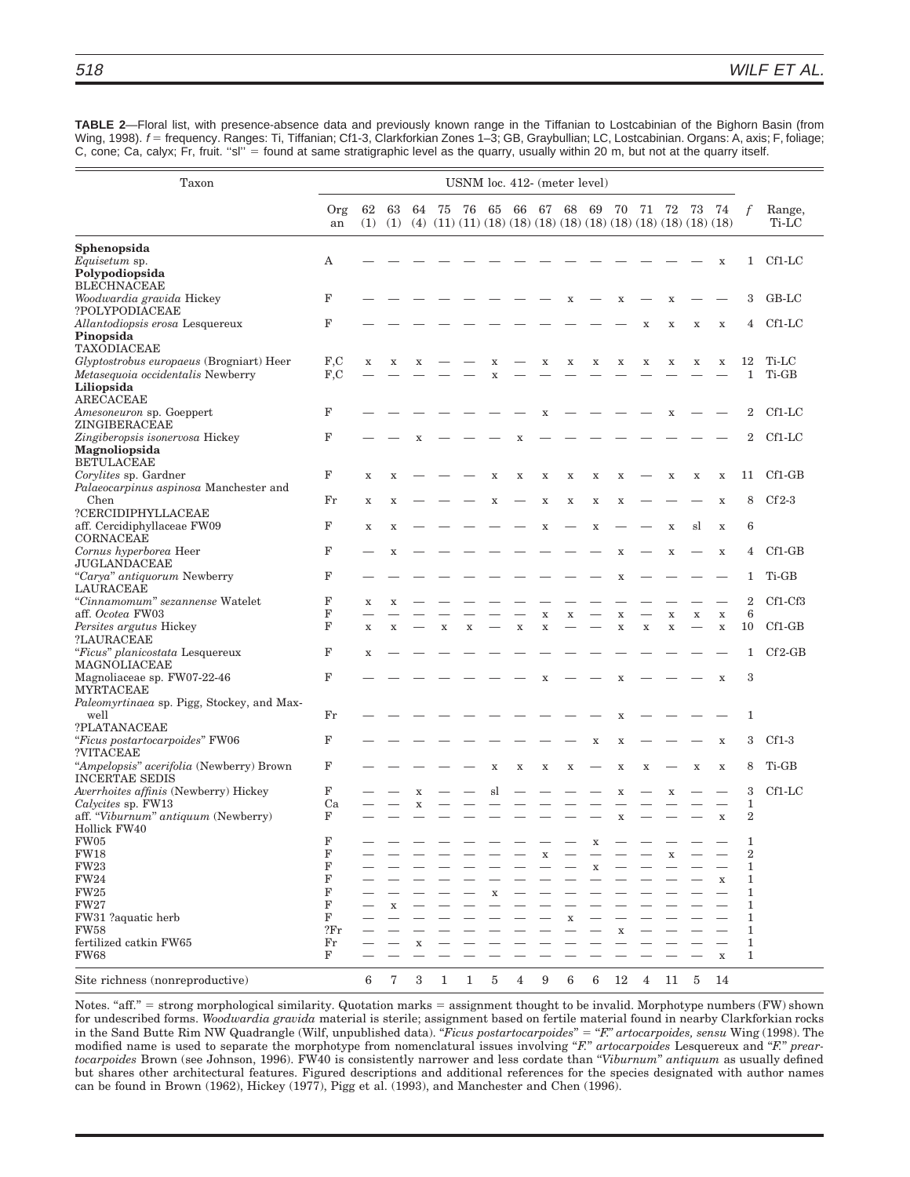**TABLE 2**—Floral list, with presence-absence data and previously known range in the Tiffanian to Lostcabinian of the Bighorn Basin (from Wing, 1998).  $f =$  frequency. Ranges: Ti, Tiffanian; Cf1-3, Clarkforkian Zones 1-3; GB, Graybullian; LC, Lostcabinian. Organs: A, axis; F, foliage; C, cone; Ca, calyx; Fr, fruit. "sl" = found at same stratigraphic level as the quarry, usually within 20 m, but not at the quarry itself.

| Taxon                                                                                                           | USNM loc. 412- (meter level) |             |             |                  |             |             |             |             |                                        |             |             |                            |                |                            |                                                                                                 |                            |                       |                 |
|-----------------------------------------------------------------------------------------------------------------|------------------------------|-------------|-------------|------------------|-------------|-------------|-------------|-------------|----------------------------------------|-------------|-------------|----------------------------|----------------|----------------------------|-------------------------------------------------------------------------------------------------|----------------------------|-----------------------|-----------------|
|                                                                                                                 | Org<br>an                    | 62<br>(1)   | 63<br>(1)   | 64               | 75          | 76          | 65          |             | 66 67 68                               |             | 69          | 70                         | 71             | -72                        | 73<br>$(4)$ $(11)$ $(11)$ $(18)$ $(18)$ $(18)$ $(18)$ $(18)$ $(18)$ $(18)$ $(18)$ $(18)$ $(18)$ | 74                         |                       | Range,<br>Ti-LC |
| Sphenopsida                                                                                                     |                              |             |             |                  |             |             |             |             |                                        |             |             |                            |                |                            |                                                                                                 |                            |                       |                 |
| <i>Equisetum</i> sp.<br>Polypodiopsida<br><b>BLECHNACEAE</b>                                                    | Α                            |             |             |                  |             |             |             |             |                                        |             |             |                            |                |                            |                                                                                                 | X                          | $\mathbf{1}$          | $Cf1-LC$        |
| Woodwardia gravida Hickey<br>?POLYPODIACEAE                                                                     | F                            |             |             |                  |             |             |             |             |                                        | x           |             | X                          |                | X                          |                                                                                                 |                            | 3                     | $GB-LC$         |
| Allantodiopsis erosa Lesquereux<br>Pinopsida<br>TAXODIACEAE                                                     | F                            |             |             |                  |             |             |             |             |                                        |             |             |                            | X              | X                          | $\mathbf x$                                                                                     | $\mathbf x$                | 4                     | Cf1-LC          |
| Glyptostrobus europaeus (Brogniart) Heer<br>Metasequoia occidentalis Newberry<br>Liliopsida<br><b>ARECACEAE</b> | F, C<br>F, C                 | $\mathbf X$ | $\mathbf X$ | $\mathbf X$      |             |             | x<br>X      |             | x                                      | $\mathbf X$ | X           | $\mathbf X$                | $\mathbf X$    | $\mathbf X$                | $\mathbf X$                                                                                     | $\mathbf X$                | 12<br>1               | Ti-LC<br>Ti-GB  |
| Amesoneuron sp. Goeppert<br>ZINGIBERACEAE                                                                       | F                            |             |             |                  |             |             |             |             |                                        |             |             |                            |                | X                          |                                                                                                 |                            | 2                     | $Cf1-LC$        |
| Zingiberopsis isonervosa Hickey<br>Magnoliopsida<br><b>BETULACEAE</b>                                           | $\mathbf F$                  |             |             | X                |             |             |             | x           |                                        |             |             |                            |                |                            |                                                                                                 |                            | $\overline{2}$        | $Cf1-LC$        |
| Corylites sp. Gardner<br>Palaeocarpinus aspinosa Manchester and                                                 | $\mathbf F$                  | $\mathbf x$ | X           |                  |             |             | X           | X           | $\mathbf x$                            | $\mathbf X$ | $\mathbf x$ | X                          |                | X                          | $\mathbf X$                                                                                     | $\mathbf x$                | 11                    | $Cf1-GB$        |
| Chen<br>?CERCIDIPHYLLACEAE<br>aff. Cercidiphyllaceae FW09                                                       | $_{\rm Fr}$<br>F             | $\mathbf X$ | X           |                  |             |             | X           |             | X                                      | $\mathbf X$ | $\mathbf x$ | X                          |                |                            | sl                                                                                              | $\mathbf x$                | 8<br>6                | $Cf2-3$         |
| CORNACEAE<br>Cornus hyperborea Heer                                                                             | F                            | $\mathbf X$ | X<br>X      |                  |             |             |             |             | X                                      |             | X           | X                          |                | $\mathbf X$<br>$\mathbf X$ |                                                                                                 | $\mathbf x$<br>$\mathbf X$ | 4                     | $Cf1-GB$        |
| JUGLANDACEAE<br>"Carya" antiquorum Newberry                                                                     | F                            |             |             |                  |             |             |             |             |                                        |             |             | X                          |                |                            |                                                                                                 |                            | 1                     | Ti-GB           |
| LAURACEAE<br>"Cinnamomum" sezannense Watelet                                                                    | F                            | $\mathbf X$ | X           |                  |             |             |             |             |                                        |             |             |                            |                |                            |                                                                                                 |                            | $\overline{2}$        | Cf1-Cf3         |
| aff. Ocotea FW03<br>Persites argutus Hickey                                                                     | F<br>$\mathbf F$             | $\mathbf x$ | X           |                  | $\mathbf x$ | $\mathbf X$ |             | $\mathbf x$ | $\mathbf x$<br>$\overline{\mathbf{X}}$ | x           |             | $\mathbf x$<br>$\mathbf x$ | $\mathbf X$    | $\mathbf x$<br>$\mathbf X$ | $\mathbf x$                                                                                     | $\mathbf X$<br>$\mathbf X$ | $\,6$<br>10           | $Cf1-GB$        |
| ?LAURACEAE<br>"Ficus" planicostata Lesquereux                                                                   | F                            | X           |             |                  |             |             |             |             |                                        |             |             |                            |                |                            |                                                                                                 |                            | 1                     | $Cf2-GB$        |
| MAGNOLIACEAE<br>Magnoliaceae sp. FW07-22-46<br><b>MYRTACEAE</b>                                                 | $\mathbf F$                  |             |             |                  |             |             |             |             | x                                      |             |             | x                          |                |                            |                                                                                                 | $\mathbf X$                | 3                     |                 |
| Paleomyrtinaea sp. Pigg, Stockey, and Max-<br>well                                                              | $_{\rm Fr}$                  |             |             |                  |             |             |             |             |                                        |             |             | X                          |                |                            |                                                                                                 |                            | 1                     |                 |
| ?PLATANACEAE<br>"Ficus postartocarpoides" FW06                                                                  | $\mathbf F$                  |             |             |                  |             |             |             |             |                                        |             | X           | X                          |                |                            |                                                                                                 | $\mathbf x$                | 3                     | $Cf1-3$         |
| ?VITACEAE<br>"Ampelopsis" acerifolia (Newberry) Brown<br><b>INCERTAE SEDIS</b>                                  | F                            |             |             |                  |             |             | $\mathbf X$ | $\mathbf x$ | X                                      | $\mathbf X$ |             | $\mathbf x$                | $\mathbf X$    |                            | $\mathbf x$                                                                                     | $\mathbf X$                | 8                     | Ti-GB           |
| Averrhoites affinis (Newberry) Hickey<br>Calycites sp. FW13                                                     | F<br>Ca                      |             |             | $\mathbf X$<br>X |             |             | sl          |             |                                        |             |             | X                          |                | X                          |                                                                                                 |                            | 3<br>$\mathbf{1}$     | Cf1-LC          |
| aff. "Viburnum" antiquum (Newberry)<br>Hollick FW40                                                             | F                            |             |             |                  |             |             |             |             |                                        |             |             | X                          |                |                            |                                                                                                 | $\mathbf x$                | $\overline{2}$        |                 |
| FW05<br><b>FW18</b>                                                                                             | F<br>F                       |             |             |                  |             |             |             |             |                                        |             | x           |                            |                | X                          |                                                                                                 |                            | 1<br>$\boldsymbol{2}$ |                 |
| <b>FW23</b><br><b>FW24</b>                                                                                      | F<br>F                       |             |             |                  |             |             |             |             |                                        |             | X           |                            |                |                            |                                                                                                 | $\mathbf x$                | 1<br>1                |                 |
| <b>FW25</b><br><b>FW27</b>                                                                                      | F<br>F                       |             |             |                  |             |             | X           |             |                                        |             |             |                            |                |                            |                                                                                                 |                            | 1<br>1                |                 |
| FW31 ?aquatic herb                                                                                              | F                            |             | x           |                  |             |             |             |             |                                        |             |             |                            |                |                            |                                                                                                 |                            | 1                     |                 |
| <b>FW58</b>                                                                                                     | 2 <sub>Fr</sub>              |             |             |                  |             |             |             |             |                                        |             |             | x                          |                |                            |                                                                                                 |                            | 1                     |                 |
| fertilized catkin FW65<br>FW68                                                                                  | Fr<br>F                      |             |             | x                |             |             |             |             |                                        |             |             |                            |                |                            |                                                                                                 | $\mathbf x$                | 1<br>1                |                 |
| Site richness (nonreproductive)                                                                                 |                              | 6           | 7           | 3                | 1           | 1           | $\bf 5$     | 4           | $9\,$                                  | 6           | $\,6$       | 12                         | $\overline{4}$ | 11                         | $\overline{5}$                                                                                  | 14                         |                       |                 |

Notes. "aff." = strong morphological similarity. Quotation marks = assignment thought to be invalid. Morphotype numbers (FW) shown for undescribed forms. *Woodwardia gravida* material is sterile; assignment based on fertile material found in nearby Clarkforkian rocks in the Sand Butte Rim NW Quadrangle (Wilf, unpublished data). "*Ficus postartocarpoides*" = "*F." artocarpoides, sensu* Wing (1998). The modified name is used to separate the morphotype from nomenclatural issues involving "*F.*" artocarpoides Lesquereux and "*F.*" prear*tocarpoides* Brown (see Johnson, 1996). FW40 is consistently narrower and less cordate than ''*Viburnum*'' *antiquum* as usually defined but shares other architectural features. Figured descriptions and additional references for the species designated with author names can be found in Brown (1962), Hickey (1977), Pigg et al. (1993), and Manchester and Chen (1996).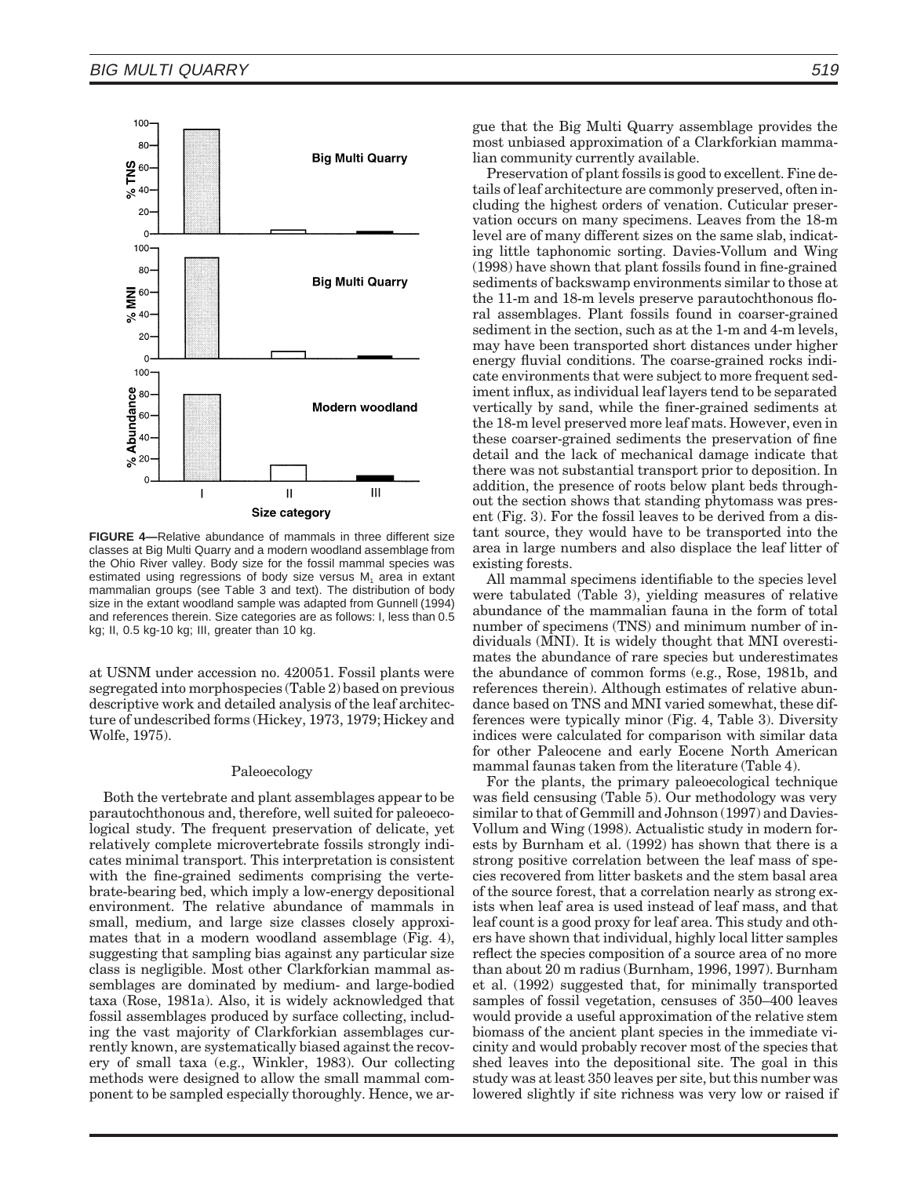

**FIGURE 4—**Relative abundance of mammals in three different size classes at Big Multi Quarry and a modern woodland assemblage from the Ohio River valley. Body size for the fossil mammal species was estimated using regressions of body size versus  $M<sub>1</sub>$  area in extant mammalian groups (see Table 3 and text). The distribution of body size in the extant woodland sample was adapted from Gunnell (1994) and references therein. Size categories are as follows: I, less than 0.5 kg; II, 0.5 kg-10 kg; III, greater than 10 kg.

at USNM under accession no. 420051. Fossil plants were segregated into morphospecies (Table 2) based on previous descriptive work and detailed analysis of the leaf architecture of undescribed forms (Hickey, 1973, 1979; Hickey and Wolfe, 1975).

## Paleoecology

Both the vertebrate and plant assemblages appear to be parautochthonous and, therefore, well suited for paleoecological study. The frequent preservation of delicate, yet relatively complete microvertebrate fossils strongly indicates minimal transport. This interpretation is consistent with the fine-grained sediments comprising the vertebrate-bearing bed, which imply a low-energy depositional environment. The relative abundance of mammals in small, medium, and large size classes closely approximates that in a modern woodland assemblage (Fig. 4), suggesting that sampling bias against any particular size class is negligible. Most other Clarkforkian mammal assemblages are dominated by medium- and large-bodied taxa (Rose, 1981a). Also, it is widely acknowledged that fossil assemblages produced by surface collecting, including the vast majority of Clarkforkian assemblages currently known, are systematically biased against the recovery of small taxa (e.g., Winkler, 1983). Our collecting methods were designed to allow the small mammal component to be sampled especially thoroughly. Hence, we argue that the Big Multi Quarry assemblage provides the most unbiased approximation of a Clarkforkian mammalian community currently available.

Preservation of plant fossils is good to excellent. Fine details of leaf architecture are commonly preserved, often including the highest orders of venation. Cuticular preservation occurs on many specimens. Leaves from the 18-m level are of many different sizes on the same slab, indicating little taphonomic sorting. Davies-Vollum and Wing (1998) have shown that plant fossils found in fine-grained sediments of backswamp environments similar to those at the 11-m and 18-m levels preserve parautochthonous floral assemblages. Plant fossils found in coarser-grained sediment in the section, such as at the 1-m and 4-m levels, may have been transported short distances under higher energy fluvial conditions. The coarse-grained rocks indicate environments that were subject to more frequent sediment influx, as individual leaf layers tend to be separated vertically by sand, while the finer-grained sediments at the 18-m level preserved more leaf mats. However, even in these coarser-grained sediments the preservation of fine detail and the lack of mechanical damage indicate that there was not substantial transport prior to deposition. In addition, the presence of roots below plant beds throughout the section shows that standing phytomass was present (Fig. 3). For the fossil leaves to be derived from a distant source, they would have to be transported into the area in large numbers and also displace the leaf litter of existing forests.

All mammal specimens identifiable to the species level were tabulated (Table 3), yielding measures of relative abundance of the mammalian fauna in the form of total number of specimens (TNS) and minimum number of individuals (MNI). It is widely thought that MNI overestimates the abundance of rare species but underestimates the abundance of common forms (e.g., Rose, 1981b, and references therein). Although estimates of relative abundance based on TNS and MNI varied somewhat, these differences were typically minor (Fig. 4, Table 3). Diversity indices were calculated for comparison with similar data for other Paleocene and early Eocene North American mammal faunas taken from the literature (Table 4).

For the plants, the primary paleoecological technique was field censusing (Table 5). Our methodology was very similar to that of Gemmill and Johnson (1997) and Davies-Vollum and Wing (1998). Actualistic study in modern forests by Burnham et al. (1992) has shown that there is a strong positive correlation between the leaf mass of species recovered from litter baskets and the stem basal area of the source forest, that a correlation nearly as strong exists when leaf area is used instead of leaf mass, and that leaf count is a good proxy for leaf area. This study and others have shown that individual, highly local litter samples reflect the species composition of a source area of no more than about 20 m radius (Burnham, 1996, 1997). Burnham et al. (1992) suggested that, for minimally transported samples of fossil vegetation, censuses of 350–400 leaves would provide a useful approximation of the relative stem biomass of the ancient plant species in the immediate vicinity and would probably recover most of the species that shed leaves into the depositional site. The goal in this study was at least 350 leaves per site, but this number was lowered slightly if site richness was very low or raised if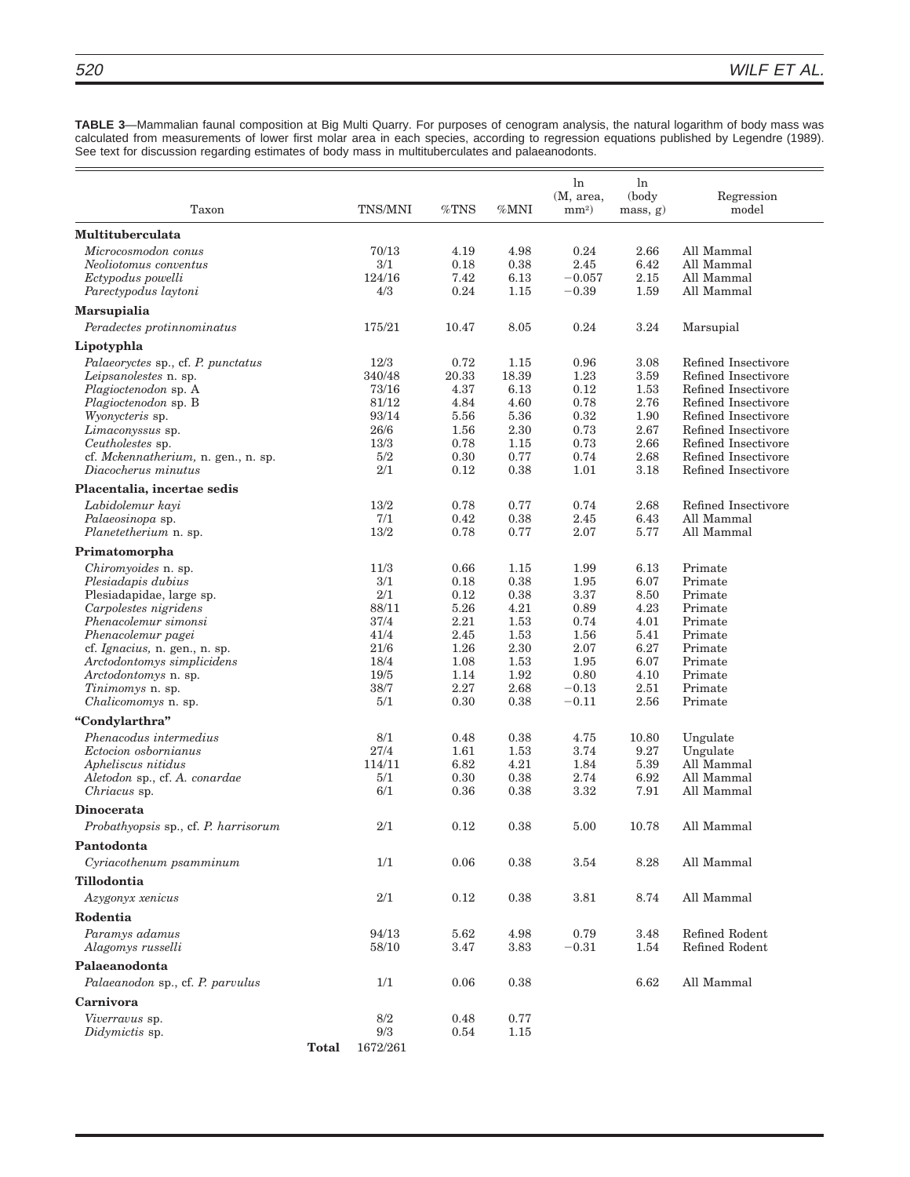**TABLE 3**—Mammalian faunal composition at Big Multi Quarry. For purposes of cenogram analysis, the natural logarithm of body mass was calculated from measurements of lower first molar area in each species, according to regression equations published by Legendre (1989). See text for discussion regarding estimates of body mass in multituberculates and palaeanodonts.

| Taxon                                                   |              | TNS/MNI        | $\%\text{TNS}$ | %MNI         | ln<br>(M, area,<br>$mm2$ ) | $\ln$<br>(body<br>mass, g) | Regression<br>model                        |
|---------------------------------------------------------|--------------|----------------|----------------|--------------|----------------------------|----------------------------|--------------------------------------------|
| <b>Multituberculata</b>                                 |              |                |                |              |                            |                            |                                            |
| Microcosmodon conus                                     |              | 70/13          | 4.19           | 4.98         | 0.24                       | 2.66                       | All Mammal                                 |
| Neoliotomus conventus                                   |              | 3/1            | 0.18           | 0.38         | 2.45                       | 6.42                       | All Mammal                                 |
| Ectypodus powelli                                       |              | 124/16         | 7.42           | 6.13         | $-0.057$                   | 2.15                       | All Mammal                                 |
| Parectypodus laytoni                                    |              | 4/3            | 0.24           | 1.15         | $-0.39$                    | 1.59                       | All Mammal                                 |
| <b>Marsupialia</b>                                      |              |                |                |              |                            |                            |                                            |
| Peradectes protinnominatus                              |              | 175/21         | 10.47          | 8.05         | 0.24                       | 3.24                       | Marsupial                                  |
| Lipotyphla                                              |              |                |                |              |                            |                            |                                            |
| Palaeoryctes sp., cf. P. punctatus                      |              | 12/3           | 0.72           | 1.15         | 0.96                       | 3.08                       | Refined Insectivore                        |
| Leipsanolestes n. sp.                                   |              | 340/48         | 20.33          | 18.39        | 1.23                       | 3.59                       | Refined Insectivore                        |
| Plagioctenodon sp. A                                    |              | 73/16          | 4.37           | 6.13         | 0.12                       | 1.53                       | Refined Insectivore                        |
| Plagioctenodon sp. B                                    |              | 81/12          | 4.84           | 4.60         | 0.78                       | 2.76                       | Refined Insectivore                        |
| Wyonycteris sp.                                         |              | 93/14          | 5.56           | 5.36         | 0.32                       | 1.90                       | Refined Insectivore                        |
| Limaconyssus sp.                                        |              | 26/6           | 1.56           | 2.30         | 0.73<br>0.73               | 2.67                       | Refined Insectivore                        |
| Ceutholestes sp.<br>cf. Mckennatherium, n. gen., n. sp. |              | 13/3<br>5/2    | 0.78<br>0.30   | 1.15<br>0.77 | 0.74                       | 2.66<br>2.68               | Refined Insectivore<br>Refined Insectivore |
| Diacocherus minutus                                     |              | 2/1            | 0.12           | 0.38         | 1.01                       | 3.18                       | Refined Insectivore                        |
| Placentalia, incertae sedis                             |              |                |                |              |                            |                            |                                            |
| Labidolemur kayi                                        |              | 13/2           | 0.78           | 0.77         | 0.74                       | 2.68                       | Refined Insectivore                        |
| Palaeosinopa sp.                                        |              | 7/1            | 0.42           | 0.38         | 2.45                       | 6.43                       | All Mammal                                 |
| <i>Planetetherium n. sp.</i>                            |              | 13/2           | 0.78           | 0.77         | 2.07                       | 5.77                       | All Mammal                                 |
| Primatomorpha                                           |              |                |                |              |                            |                            |                                            |
| Chiromyoides n. sp.                                     |              | 11/3           | 0.66           | 1.15         | 1.99                       | 6.13                       | Primate                                    |
| Plesiadapis dubius                                      |              | 3/1            | 0.18           | 0.38         | 1.95                       | 6.07                       | Primate                                    |
| Plesiadapidae, large sp.                                |              | 2/1            | 0.12           | 0.38         | 3.37                       | 8.50                       | Primate                                    |
| Carpolestes nigridens                                   |              | 88/11          | 5.26           | 4.21         | 0.89                       | 4.23                       | Primate                                    |
| Phenacolemur simonsi                                    |              | 37/4           | 2.21           | 1.53         | 0.74                       | 4.01                       | Primate                                    |
| Phenacolemur pagei                                      |              | 41/4           | 2.45           | 1.53         | 1.56                       | 5.41                       | Primate                                    |
| cf. Ignacius, n. gen., n. sp.                           |              | 21/6           | 1.26           | 2.30         | 2.07                       | 6.27                       | Primate                                    |
| Arctodontomys simplicidens                              |              | 18/4           | 1.08           | 1.53         | 1.95                       | 6.07                       | Primate                                    |
| Arctodontomys n. sp.<br><i>Tinimomys</i> n. sp.         |              | 19/5<br>38/7   | 1.14<br>2.27   | 1.92<br>2.68 | 0.80<br>$-0.13$            | 4.10<br>2.51               | Primate<br>Primate                         |
| Chalicomomys n. sp.                                     |              | 5/1            | 0.30           | 0.38         | $-0.11$                    | 2.56                       | Primate                                    |
| "Condylarthra"                                          |              |                |                |              |                            |                            |                                            |
| Phenacodus intermedius                                  |              | 8/1            | 0.48           | 0.38         | 4.75                       | 10.80                      | Ungulate                                   |
| Ectocion osbornianus                                    |              | 27/4           | 1.61           | 1.53         | 3.74                       | 9.27                       | Ungulate                                   |
| Apheliscus nitidus                                      |              | 114/11         | 6.82           | 4.21         | 1.84                       | 5.39                       | All Mammal                                 |
| Aletodon sp., cf. A. conardae                           |              | 5/1            | 0.30           | 0.38         | 2.74                       | 6.92                       | All Mammal                                 |
| Chriacus sp.                                            |              | 6/1            | 0.36           | 0.38         | 3.32                       | 7.91                       | All Mammal                                 |
| Dinocerata                                              |              |                |                |              |                            |                            |                                            |
| Probathyopsis sp., cf. P. harrisorum                    |              | 2/1            | 0.12           | 0.38         | 5.00                       | 10.78                      | All Mammal                                 |
| Pantodonta                                              |              |                |                |              |                            |                            |                                            |
| Cyriacothenum psamminum                                 |              | 1/1            | 0.06           | 0.38         | 3.54                       | 8.28                       | All Mammal                                 |
| Tillodontia                                             |              |                |                |              |                            |                            |                                            |
| Azygonyx xenicus                                        |              | 2/1            | 0.12           | 0.38         | 3.81                       | 8.74                       | All Mammal                                 |
| Rodentia                                                |              |                |                |              |                            |                            |                                            |
| Paramys adamus<br>Alagomys russelli                     |              | 94/13<br>58/10 | 5.62<br>3.47   | 4.98<br>3.83 | 0.79<br>$-0.31$            | 3.48<br>1.54               | Refined Rodent<br>Refined Rodent           |
| Palaeanodonta                                           |              |                |                |              |                            |                            |                                            |
| Palaeanodon sp., cf. P. parvulus                        |              | 1/1            | 0.06           | 0.38         |                            | 6.62                       | All Mammal                                 |
| Carnivora                                               |              |                |                |              |                            |                            |                                            |
| Viverravus sp.                                          |              | 8/2            | 0.48           | 0.77         |                            |                            |                                            |
| Didymictis sp.                                          |              | 9/3            | 0.54           | 1.15         |                            |                            |                                            |
|                                                         | <b>Total</b> | 1672/261       |                |              |                            |                            |                                            |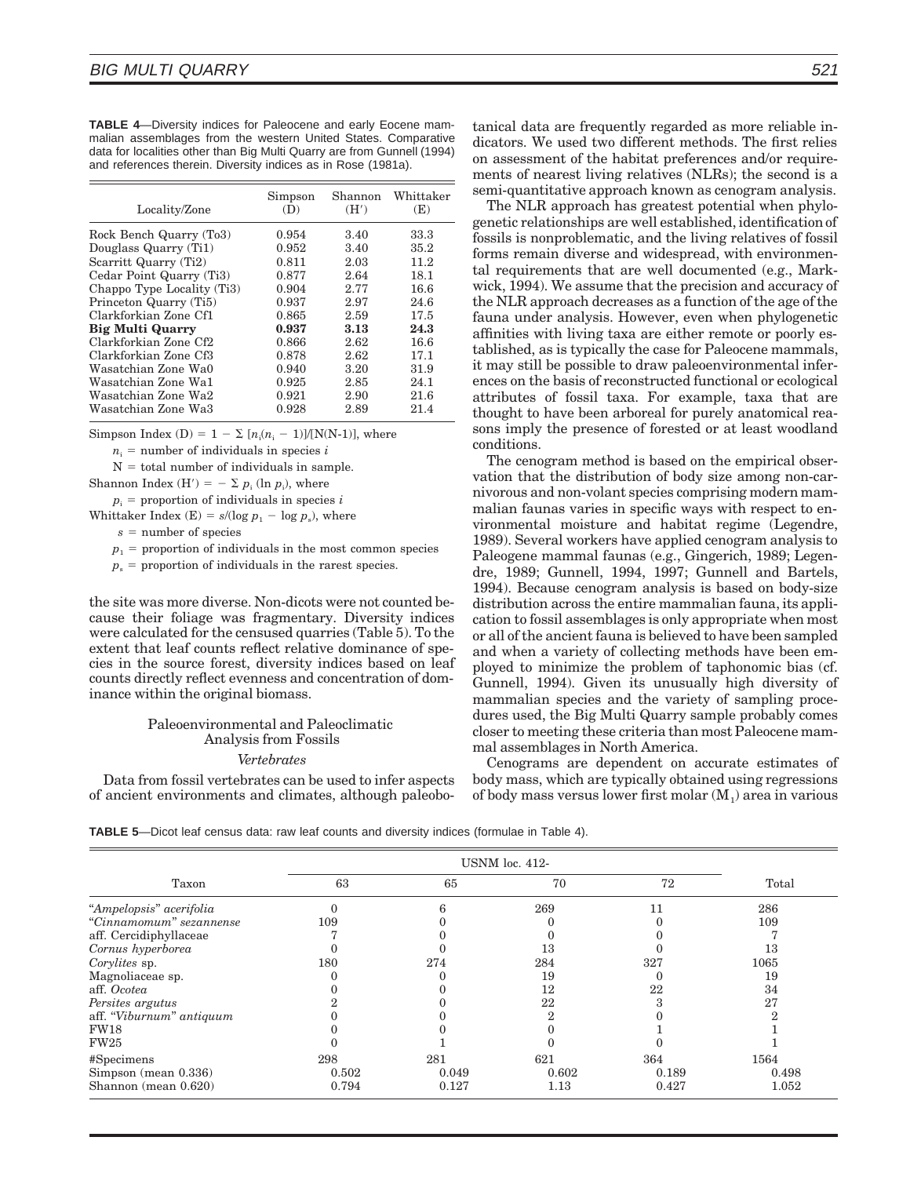**TABLE 4**—Diversity indices for Paleocene and early Eocene mammalian assemblages from the western United States. Comparative data for localities other than Big Multi Quarry are from Gunnell (1994) and references therein. Diversity indices as in Rose (1981a).

| Locality/Zone              | Simpson<br>(1) | Shannon<br>(H') | Whittaker<br>(E) |
|----------------------------|----------------|-----------------|------------------|
| Rock Bench Quarry (To3)    | 0.954          | 3.40            | 33.3             |
| Douglass Quarry (Ti1)      | 0.952          | 3.40            | 35.2             |
| Scarritt Quarry (Ti2)      | 0.811          | 2.03            | 11.2             |
| Cedar Point Quarry (Ti3)   | 0.877          | 2.64            | 18.1             |
| Chappo Type Locality (Ti3) | 0.904          | 2.77            | 16.6             |
| Princeton Quarry (Ti5)     | 0.937          | 2.97            | 24.6             |
| Clarkforkian Zone Cf1      | 0.865          | 2.59            | 17.5             |
| <b>Big Multi Quarry</b>    | 0.937          | 3.13            | 24.3             |
| Clarkforkian Zone Cf2      | 0.866          | 2.62            | 16.6             |
| Clarkforkian Zone Cf3      | 0.878          | 2.62            | 17.1             |
| Wasatchian Zone Wa0        | 0.940          | 3.20            | 31.9             |
| Wasatchian Zone Wa1        | 0.925          | 2.85            | 24.1             |
| Wasatchian Zone Wa2        | 0.921          | 2.90            | 21.6             |
| Wasatchian Zone Wa3        | 0.928          | 2.89            | 21.4             |

Simpson Index (D) =  $1 - \sum [n_i(n_i - 1)]/[N(N-1)]$ , where

 $n_i$  = number of individuals in species *i* 

 $N =$  total number of individuals in sample.

Shannon Index  $(H') = - \sum p_i (\ln p_i)$ , where

 $p_i$  = proportion of individuals in species *i* 

Whittaker Index (E) =  $s/(\log p_1 - \log p_s)$ , where

 $s =$  number of species

 $p_1$  = proportion of individuals in the most common species

 $p<sub>s</sub>$  = proportion of individuals in the rarest species.

the site was more diverse. Non-dicots were not counted because their foliage was fragmentary. Diversity indices were calculated for the censused quarries (Table 5). To the extent that leaf counts reflect relative dominance of species in the source forest, diversity indices based on leaf counts directly reflect evenness and concentration of dominance within the original biomass.

## Paleoenvironmental and Paleoclimatic Analysis from Fossils

#### *Vertebrates*

Data from fossil vertebrates can be used to infer aspects of ancient environments and climates, although paleobotanical data are frequently regarded as more reliable indicators. We used two different methods. The first relies on assessment of the habitat preferences and/or requirements of nearest living relatives (NLRs); the second is a semi-quantitative approach known as cenogram analysis.

The NLR approach has greatest potential when phylogenetic relationships are well established, identification of fossils is nonproblematic, and the living relatives of fossil forms remain diverse and widespread, with environmental requirements that are well documented (e.g., Markwick, 1994). We assume that the precision and accuracy of the NLR approach decreases as a function of the age of the fauna under analysis. However, even when phylogenetic affinities with living taxa are either remote or poorly established, as is typically the case for Paleocene mammals, it may still be possible to draw paleoenvironmental inferences on the basis of reconstructed functional or ecological attributes of fossil taxa. For example, taxa that are thought to have been arboreal for purely anatomical reasons imply the presence of forested or at least woodland conditions.

The cenogram method is based on the empirical observation that the distribution of body size among non-carnivorous and non-volant species comprising modern mammalian faunas varies in specific ways with respect to environmental moisture and habitat regime (Legendre, 1989). Several workers have applied cenogram analysis to Paleogene mammal faunas (e.g., Gingerich, 1989; Legendre, 1989; Gunnell, 1994, 1997; Gunnell and Bartels, 1994). Because cenogram analysis is based on body-size distribution across the entire mammalian fauna, its application to fossil assemblages is only appropriate when most or all of the ancient fauna is believed to have been sampled and when a variety of collecting methods have been employed to minimize the problem of taphonomic bias (cf. Gunnell, 1994). Given its unusually high diversity of mammalian species and the variety of sampling procedures used, the Big Multi Quarry sample probably comes closer to meeting these criteria than most Paleocene mammal assemblages in North America.

Cenograms are dependent on accurate estimates of body mass, which are typically obtained using regressions of body mass versus lower first molar  $(M_1)$  area in various

**TABLE 5**—Dicot leaf census data: raw leaf counts and diversity indices (formulae in Table 4).

| Taxon                    | 63    | 65    | 70            | 72    | Total |
|--------------------------|-------|-------|---------------|-------|-------|
| "Ampelopsis" acerifolia  |       |       | 269           |       | 286   |
| "Cinnamomum" sezannense  | 109   |       |               |       | 109   |
| aff. Cercidiphyllaceae   |       |       |               |       |       |
| Cornus hyperborea        |       |       | 13            |       | 13    |
| Corylites sp.            | 180   | 274   | 284           | 327   | 1065  |
| Magnoliaceae sp.         |       |       | 19            |       | 19    |
| aff. Ocotea              |       |       | 12            | 22    | 34    |
| Persites argutus         |       |       | 22            |       | 27    |
| aff. "Viburnum" antiquum |       |       | $\mathcal{D}$ |       |       |
| <b>FW18</b>              |       |       |               |       |       |
| <b>FW25</b>              |       |       |               |       |       |
| #Specimens               | 298   | 281   | 621           | 364   | 1564  |
| $Simpson$ (mean 0.336)   | 0.502 | 0.049 | 0.602         | 0.189 | 0.498 |
| Shannon (mean 0.620)     | 0.794 | 0.127 | $1.13\,$      | 0.427 | 1.052 |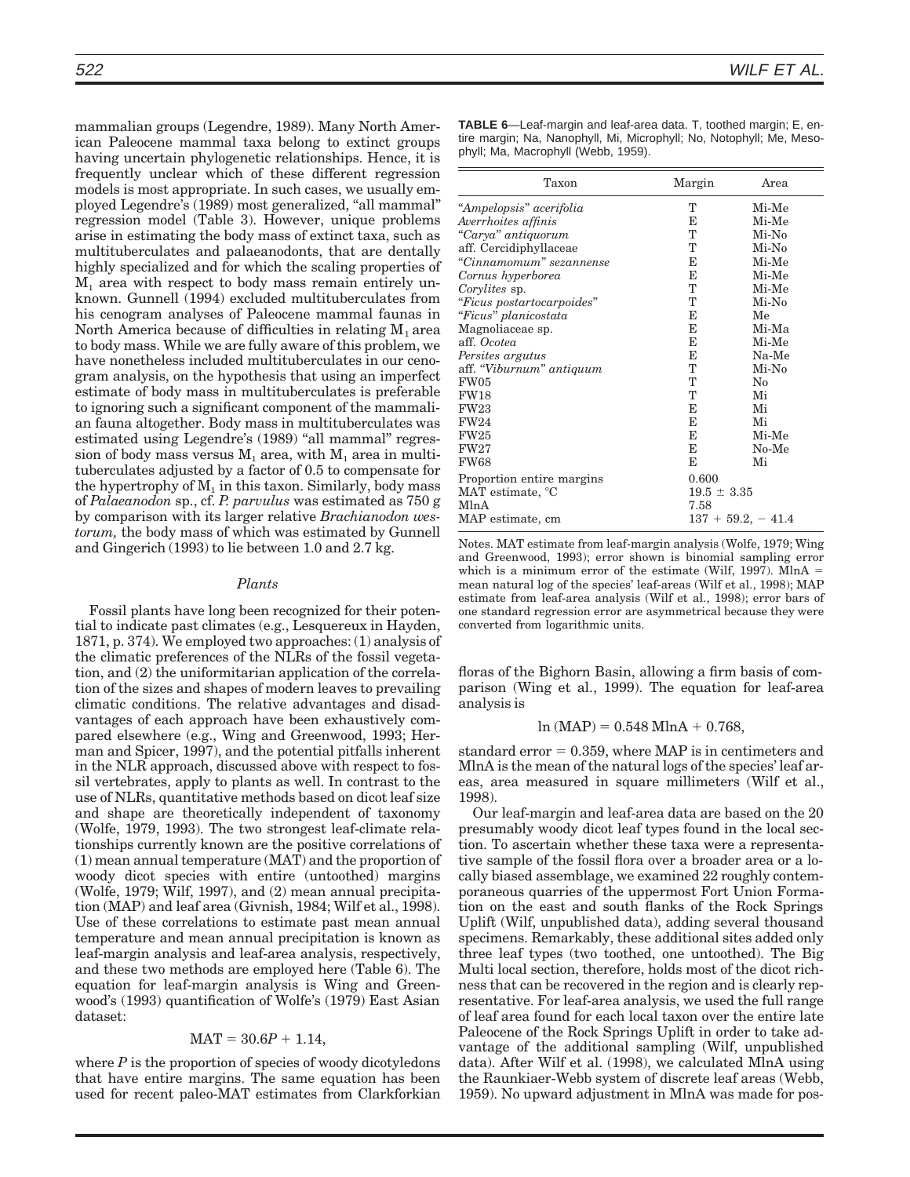mammalian groups (Legendre, 1989). Many North American Paleocene mammal taxa belong to extinct groups having uncertain phylogenetic relationships. Hence, it is frequently unclear which of these different regression models is most appropriate. In such cases, we usually employed Legendre's (1989) most generalized, ''all mammal'' regression model (Table 3). However, unique problems arise in estimating the body mass of extinct taxa, such as multituberculates and palaeanodonts, that are dentally highly specialized and for which the scaling properties of  $M<sub>1</sub>$  area with respect to body mass remain entirely unknown. Gunnell (1994) excluded multituberculates from his cenogram analyses of Paleocene mammal faunas in North America because of difficulties in relating  $M_1$  area to body mass. While we are fully aware of this problem, we have nonetheless included multituberculates in our cenogram analysis, on the hypothesis that using an imperfect estimate of body mass in multituberculates is preferable to ignoring such a significant component of the mammalian fauna altogether. Body mass in multituberculates was estimated using Legendre's (1989) "all mammal" regression of body mass versus  $M_1$  area, with  $M_1$  area in multituberculates adjusted by a factor of 0.5 to compensate for the hypertrophy of  $M_1$  in this taxon. Similarly, body mass of *Palaeanodon* sp., cf. *P. parvulus* was estimated as 750 g by comparison with its larger relative *Brachianodon westorum,* the body mass of which was estimated by Gunnell and Gingerich (1993) to lie between 1.0 and 2.7 kg.

#### *Plants*

Fossil plants have long been recognized for their potential to indicate past climates (e.g., Lesquereux in Hayden, 1871, p. 374). We employed two approaches: (1) analysis of the climatic preferences of the NLRs of the fossil vegetation, and (2) the uniformitarian application of the correlation of the sizes and shapes of modern leaves to prevailing climatic conditions. The relative advantages and disadvantages of each approach have been exhaustively compared elsewhere (e.g., Wing and Greenwood, 1993; Herman and Spicer, 1997), and the potential pitfalls inherent in the NLR approach, discussed above with respect to fossil vertebrates, apply to plants as well. In contrast to the use of NLRs, quantitative methods based on dicot leaf size and shape are theoretically independent of taxonomy (Wolfe, 1979, 1993). The two strongest leaf-climate relationships currently known are the positive correlations of (1) mean annual temperature (MAT) and the proportion of woody dicot species with entire (untoothed) margins (Wolfe, 1979; Wilf, 1997), and (2) mean annual precipitation (MAP) and leaf area (Givnish, 1984; Wilf et al., 1998). Use of these correlations to estimate past mean annual temperature and mean annual precipitation is known as leaf-margin analysis and leaf-area analysis, respectively, and these two methods are employed here (Table 6). The equation for leaf-margin analysis is Wing and Greenwood's (1993) quantification of Wolfe's (1979) East Asian dataset:

## $MAT = 30.6P + 1.14,$

where  $P$  is the proportion of species of woody dicotyledons that have entire margins. The same equation has been used for recent paleo-MAT estimates from Clarkforkian **TABLE 6**—Leaf-margin and leaf-area data. T, toothed margin; E, entire margin; Na, Nanophyll, Mi, Microphyll; No, Notophyll; Me, Mesophyll; Ma, Macrophyll (Webb, 1959).

| Taxon                     | Margin          | Area                |
|---------------------------|-----------------|---------------------|
| "Ampelopsis" acerifolia   | T               | Mi-Me               |
| Averrhoites affinis       | Е               | Mi-Me               |
| "Carya" antiquorum        | T               | Mi-No               |
| aff. Cercidiphyllaceae    | T               | $Mi-No$             |
| "Cinnamomum" sezannense   | E               | Mi-Me               |
| Cornus hyperborea         | Е               | Mi-Me               |
| Corylites sp.             | T               | Mi-Me               |
| "Ficus postartocarpoides" | T               | Mi-No               |
| "Ficus" planicostata      | Е               | Me                  |
| Magnoliaceae sp.          | E               | Mi-Ma               |
| aff. Ocotea               | Е               | Mi-Me               |
| Persites argutus          | Е               | Na-Me               |
| aff. "Viburnum" antiquum  | T               | Mi-No               |
| FW05                      | T               | $\rm No$            |
| <b>FW18</b>               | Т               | Mi                  |
| <b>FW23</b>               | Е               | Mi                  |
| <b>FW24</b>               | Е               | Mi                  |
| <b>FW25</b>               | E               | Mi-Me               |
| FW27                      | Е               | $No-Me$             |
| <b>FW68</b>               | Е               | Mi                  |
| Proportion entire margins | 0.600           |                     |
| MAT estimate, °C          | $19.5 \pm 3.35$ |                     |
| MlnA                      | 7.58            |                     |
| MAP estimate, cm          |                 | $137 + 59.2, -41.4$ |

Notes. MAT estimate from leaf-margin analysis (Wolfe, 1979; Wing and Greenwood, 1993); error shown is binomial sampling error which is a minimum error of the estimate (Wilf, 1997). MlnA  $=$ mean natural log of the species' leaf-areas (Wilf et al., 1998); MAP estimate from leaf-area analysis (Wilf et al., 1998); error bars of one standard regression error are asymmetrical because they were converted from logarithmic units.

floras of the Bighorn Basin, allowing a firm basis of comparison (Wing et al., 1999). The equation for leaf-area analysis is

$$
ln (MAP) = 0.548 MlnA + 0.768,
$$

standard error  $= 0.359$ , where MAP is in centimeters and MlnA is the mean of the natural logs of the species' leaf areas, area measured in square millimeters (Wilf et al., 1998).

Our leaf-margin and leaf-area data are based on the 20 presumably woody dicot leaf types found in the local section. To ascertain whether these taxa were a representative sample of the fossil flora over a broader area or a locally biased assemblage, we examined 22 roughly contemporaneous quarries of the uppermost Fort Union Formation on the east and south flanks of the Rock Springs Uplift (Wilf, unpublished data), adding several thousand specimens. Remarkably, these additional sites added only three leaf types (two toothed, one untoothed). The Big Multi local section, therefore, holds most of the dicot richness that can be recovered in the region and is clearly representative. For leaf-area analysis, we used the full range of leaf area found for each local taxon over the entire late Paleocene of the Rock Springs Uplift in order to take advantage of the additional sampling (Wilf, unpublished data). After Wilf et al. (1998), we calculated MlnA using the Raunkiaer-Webb system of discrete leaf areas (Webb, 1959). No upward adjustment in MlnA was made for pos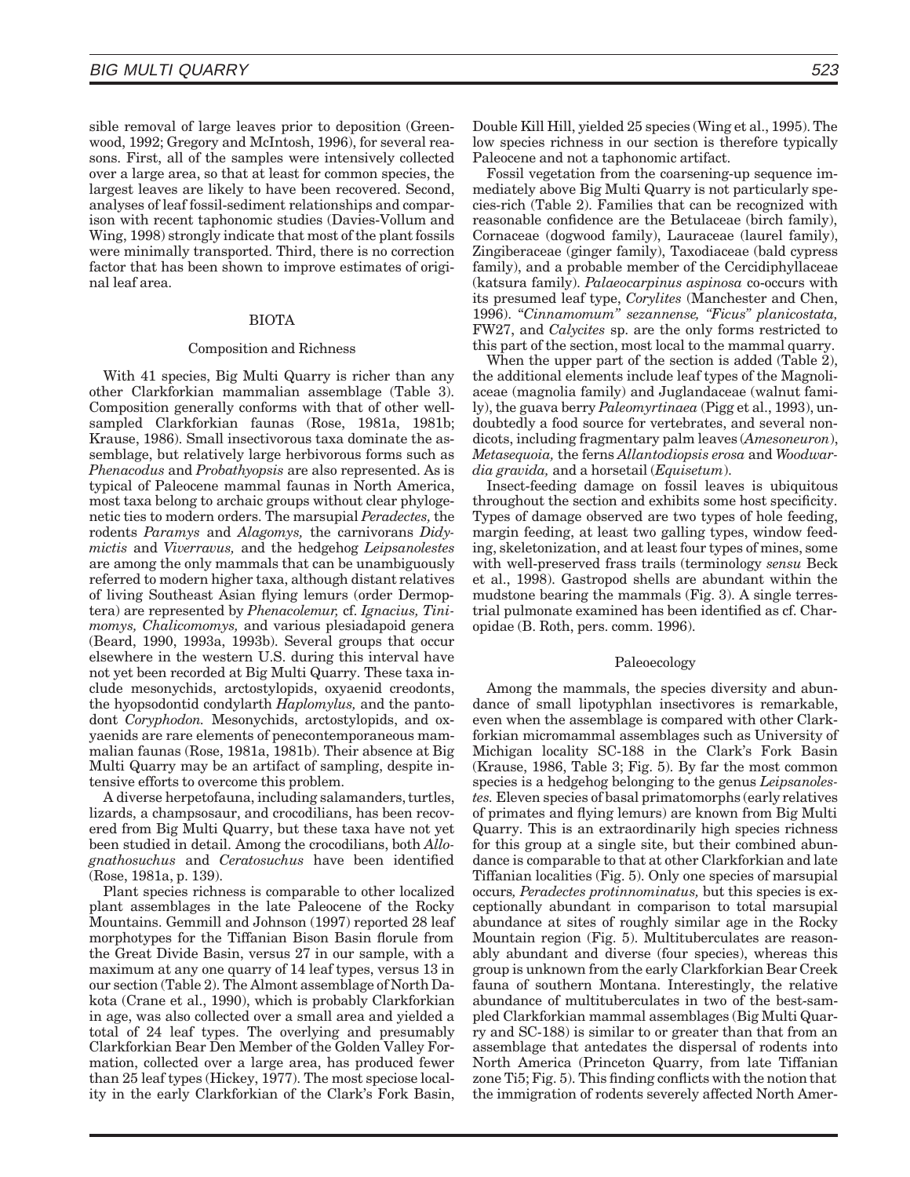sible removal of large leaves prior to deposition (Greenwood, 1992; Gregory and McIntosh, 1996), for several reasons. First, all of the samples were intensively collected over a large area, so that at least for common species, the largest leaves are likely to have been recovered. Second, analyses of leaf fossil-sediment relationships and comparison with recent taphonomic studies (Davies-Vollum and Wing, 1998) strongly indicate that most of the plant fossils were minimally transported. Third, there is no correction factor that has been shown to improve estimates of original leaf area.

## BIOTA

#### Composition and Richness

With 41 species, Big Multi Quarry is richer than any other Clarkforkian mammalian assemblage (Table 3). Composition generally conforms with that of other wellsampled Clarkforkian faunas (Rose, 1981a, 1981b; Krause, 1986). Small insectivorous taxa dominate the assemblage, but relatively large herbivorous forms such as *Phenacodus* and *Probathyopsis* are also represented. As is typical of Paleocene mammal faunas in North America, most taxa belong to archaic groups without clear phylogenetic ties to modern orders. The marsupial *Peradectes,*the rodents *Paramys* and *Alagomys,* the carnivorans *Didymictis* and *Viverravus,* and the hedgehog *Leipsanolestes* are among the only mammals that can be unambiguously referred to modern higher taxa, although distant relatives of living Southeast Asian flying lemurs (order Dermoptera) are represented by *Phenacolemur,* cf. *Ignacius, Tinimomys, Chalicomomys,* and various plesiadapoid genera (Beard, 1990, 1993a, 1993b). Several groups that occur elsewhere in the western U.S. during this interval have not yet been recorded at Big Multi Quarry. These taxa include mesonychids, arctostylopids, oxyaenid creodonts, the hyopsodontid condylarth *Haplomylus,* and the pantodont *Coryphodon.* Mesonychids, arctostylopids, and oxyaenids are rare elements of penecontemporaneous mammalian faunas (Rose, 1981a, 1981b). Their absence at Big Multi Quarry may be an artifact of sampling, despite intensive efforts to overcome this problem.

A diverse herpetofauna, including salamanders, turtles, lizards, a champsosaur, and crocodilians, has been recovered from Big Multi Quarry, but these taxa have not yet been studied in detail. Among the crocodilians, both *Allognathosuchus* and *Ceratosuchus* have been identified (Rose, 1981a, p. 139).

Plant species richness is comparable to other localized plant assemblages in the late Paleocene of the Rocky Mountains. Gemmill and Johnson (1997) reported 28 leaf morphotypes for the Tiffanian Bison Basin florule from the Great Divide Basin, versus 27 in our sample, with a maximum at any one quarry of 14 leaf types, versus 13 in our section (Table 2). The Almont assemblage of North Dakota (Crane et al., 1990), which is probably Clarkforkian in age, was also collected over a small area and yielded a total of 24 leaf types. The overlying and presumably Clarkforkian Bear Den Member of the Golden Valley Formation, collected over a large area, has produced fewer than 25 leaf types (Hickey, 1977). The most speciose locality in the early Clarkforkian of the Clark's Fork Basin,

Double Kill Hill, yielded 25 species (Wing et al., 1995). The low species richness in our section is therefore typically Paleocene and not a taphonomic artifact.

Fossil vegetation from the coarsening-up sequence immediately above Big Multi Quarry is not particularly species-rich (Table 2). Families that can be recognized with reasonable confidence are the Betulaceae (birch family), Cornaceae (dogwood family), Lauraceae (laurel family), Zingiberaceae (ginger family), Taxodiaceae (bald cypress family), and a probable member of the Cercidiphyllaceae (katsura family). *Palaeocarpinus aspinosa* co-occurs with its presumed leaf type, *Corylites* (Manchester and Chen, 1996). ''*Cinnamomum'' sezannense, ''Ficus'' planicostata,* FW27, and *Calycites* sp. are the only forms restricted to this part of the section, most local to the mammal quarry.

When the upper part of the section is added (Table 2), the additional elements include leaf types of the Magnoliaceae (magnolia family) and Juglandaceae (walnut family), the guava berry *Paleomyrtinaea* (Pigg et al., 1993), undoubtedly a food source for vertebrates, and several nondicots, including fragmentary palm leaves (*Amesoneuron*), *Metasequoia,* the ferns *Allantodiopsis erosa* and *Woodwardia gravida,* and a horsetail (*Equisetum*).

Insect-feeding damage on fossil leaves is ubiquitous throughout the section and exhibits some host specificity. Types of damage observed are two types of hole feeding, margin feeding, at least two galling types, window feeding, skeletonization, and at least four types of mines, some with well-preserved frass trails (terminology *sensu* Beck et al., 1998). Gastropod shells are abundant within the mudstone bearing the mammals (Fig. 3). A single terrestrial pulmonate examined has been identified as cf. Charopidae (B. Roth, pers. comm. 1996).

# Paleoecology

Among the mammals, the species diversity and abundance of small lipotyphlan insectivores is remarkable, even when the assemblage is compared with other Clarkforkian micromammal assemblages such as University of Michigan locality SC-188 in the Clark's Fork Basin (Krause, 1986, Table 3; Fig. 5). By far the most common species is a hedgehog belonging to the genus *Leipsanolestes.* Eleven species of basal primatomorphs (early relatives of primates and flying lemurs) are known from Big Multi Quarry. This is an extraordinarily high species richness for this group at a single site, but their combined abundance is comparable to that at other Clarkforkian and late Tiffanian localities (Fig. 5). Only one species of marsupial occurs*, Peradectes protinnominatus,* but this species is exceptionally abundant in comparison to total marsupial abundance at sites of roughly similar age in the Rocky Mountain region (Fig. 5). Multituberculates are reasonably abundant and diverse (four species), whereas this group is unknown from the early Clarkforkian Bear Creek fauna of southern Montana. Interestingly, the relative abundance of multituberculates in two of the best-sampled Clarkforkian mammal assemblages (Big Multi Quarry and SC-188) is similar to or greater than that from an assemblage that antedates the dispersal of rodents into North America (Princeton Quarry, from late Tiffanian zone Ti5; Fig. 5). This finding conflicts with the notion that the immigration of rodents severely affected North Amer-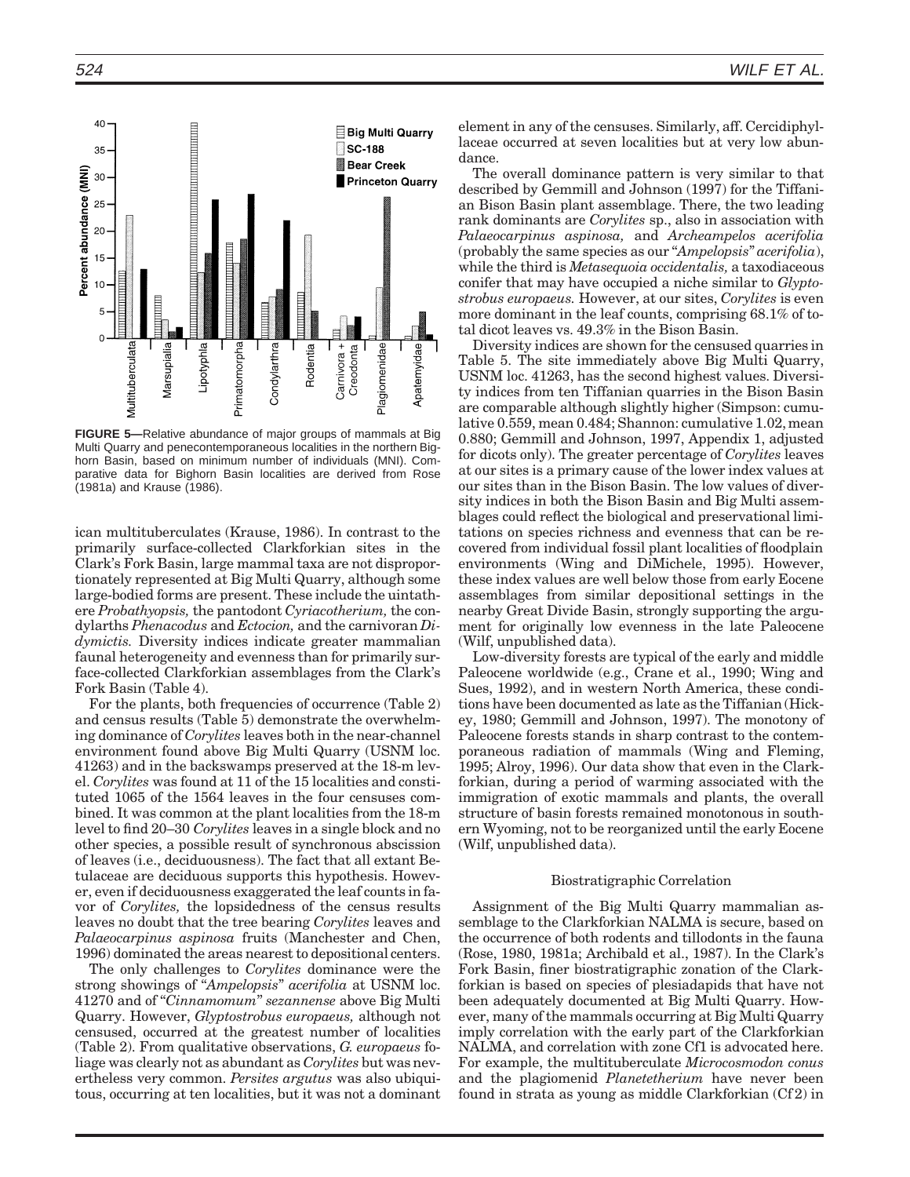

**FIGURE 5—**Relative abundance of major groups of mammals at Big Multi Quarry and penecontemporaneous localities in the northern Bighorn Basin, based on minimum number of individuals (MNI). Comparative data for Bighorn Basin localities are derived from Rose (1981a) and Krause (1986).

ican multituberculates (Krause, 1986). In contrast to the primarily surface-collected Clarkforkian sites in the Clark's Fork Basin, large mammal taxa are not disproportionately represented at Big Multi Quarry, although some large-bodied forms are present. These include the uintathere *Probathyopsis,* the pantodont *Cyriacotherium,* the condylarths *Phenacodus* and *Ectocion,* and the carnivoran *Didymictis.* Diversity indices indicate greater mammalian faunal heterogeneity and evenness than for primarily surface-collected Clarkforkian assemblages from the Clark's Fork Basin (Table 4).

For the plants, both frequencies of occurrence (Table 2) and census results (Table 5) demonstrate the overwhelming dominance of *Corylites* leaves both in the near-channel environment found above Big Multi Quarry (USNM loc. 41263) and in the backswamps preserved at the 18-m level. *Corylites* was found at 11 of the 15 localities and constituted 1065 of the 1564 leaves in the four censuses combined. It was common at the plant localities from the 18-m level to find 20–30 *Corylites* leaves in a single block and no other species, a possible result of synchronous abscission of leaves (i.e., deciduousness). The fact that all extant Betulaceae are deciduous supports this hypothesis. However, even if deciduousness exaggerated the leaf counts in favor of *Corylites,* the lopsidedness of the census results leaves no doubt that the tree bearing *Corylites* leaves and *Palaeocarpinus aspinosa* fruits (Manchester and Chen, 1996) dominated the areas nearest to depositional centers.

The only challenges to *Corylites* dominance were the strong showings of ''*Ampelopsis*'' *acerifolia* at USNM loc. 41270 and of ''*Cinnamomum*'' *sezannense* above Big Multi Quarry. However, *Glyptostrobus europaeus,* although not censused, occurred at the greatest number of localities (Table 2). From qualitative observations, *G. europaeus* foliage was clearly not as abundant as *Corylites* but was nevertheless very common. *Persites argutus* was also ubiquitous, occurring at ten localities, but it was not a dominant element in any of the censuses. Similarly, aff. Cercidiphyllaceae occurred at seven localities but at very low abundance.

The overall dominance pattern is very similar to that described by Gemmill and Johnson (1997) for the Tiffanian Bison Basin plant assemblage. There, the two leading rank dominants are *Corylites* sp., also in association with *Palaeocarpinus aspinosa,* and *Archeampelos acerifolia* (probably the same species as our ''*Ampelopsis*'' *acerifolia*), while the third is *Metasequoia occidentalis,* a taxodiaceous conifer that may have occupied a niche similar to *Glyptostrobus europaeus.* However, at our sites, *Corylites* is even more dominant in the leaf counts, comprising 68.1% of total dicot leaves vs. 49.3% in the Bison Basin.

Diversity indices are shown for the censused quarries in Table 5. The site immediately above Big Multi Quarry, USNM loc. 41263, has the second highest values. Diversity indices from ten Tiffanian quarries in the Bison Basin are comparable although slightly higher (Simpson: cumulative 0.559, mean 0.484; Shannon: cumulative 1.02, mean 0.880; Gemmill and Johnson, 1997, Appendix 1, adjusted for dicots only). The greater percentage of *Corylites* leaves at our sites is a primary cause of the lower index values at our sites than in the Bison Basin. The low values of diversity indices in both the Bison Basin and Big Multi assemblages could reflect the biological and preservational limitations on species richness and evenness that can be recovered from individual fossil plant localities of floodplain environments (Wing and DiMichele, 1995). However, these index values are well below those from early Eocene assemblages from similar depositional settings in the nearby Great Divide Basin, strongly supporting the argument for originally low evenness in the late Paleocene (Wilf, unpublished data).

Low-diversity forests are typical of the early and middle Paleocene worldwide (e.g., Crane et al., 1990; Wing and Sues, 1992), and in western North America, these conditions have been documented as late as the Tiffanian (Hickey, 1980; Gemmill and Johnson, 1997). The monotony of Paleocene forests stands in sharp contrast to the contemporaneous radiation of mammals (Wing and Fleming, 1995; Alroy, 1996). Our data show that even in the Clarkforkian, during a period of warming associated with the immigration of exotic mammals and plants, the overall structure of basin forests remained monotonous in southern Wyoming, not to be reorganized until the early Eocene (Wilf, unpublished data).

## Biostratigraphic Correlation

Assignment of the Big Multi Quarry mammalian assemblage to the Clarkforkian NALMA is secure, based on the occurrence of both rodents and tillodonts in the fauna (Rose, 1980, 1981a; Archibald et al., 1987). In the Clark's Fork Basin, finer biostratigraphic zonation of the Clarkforkian is based on species of plesiadapids that have not been adequately documented at Big Multi Quarry. However, many of the mammals occurring at Big Multi Quarry imply correlation with the early part of the Clarkforkian NALMA, and correlation with zone Cf1 is advocated here. For example, the multituberculate *Microcosmodon conus* and the plagiomenid *Planetetherium* have never been found in strata as young as middle Clarkforkian (Cf 2) in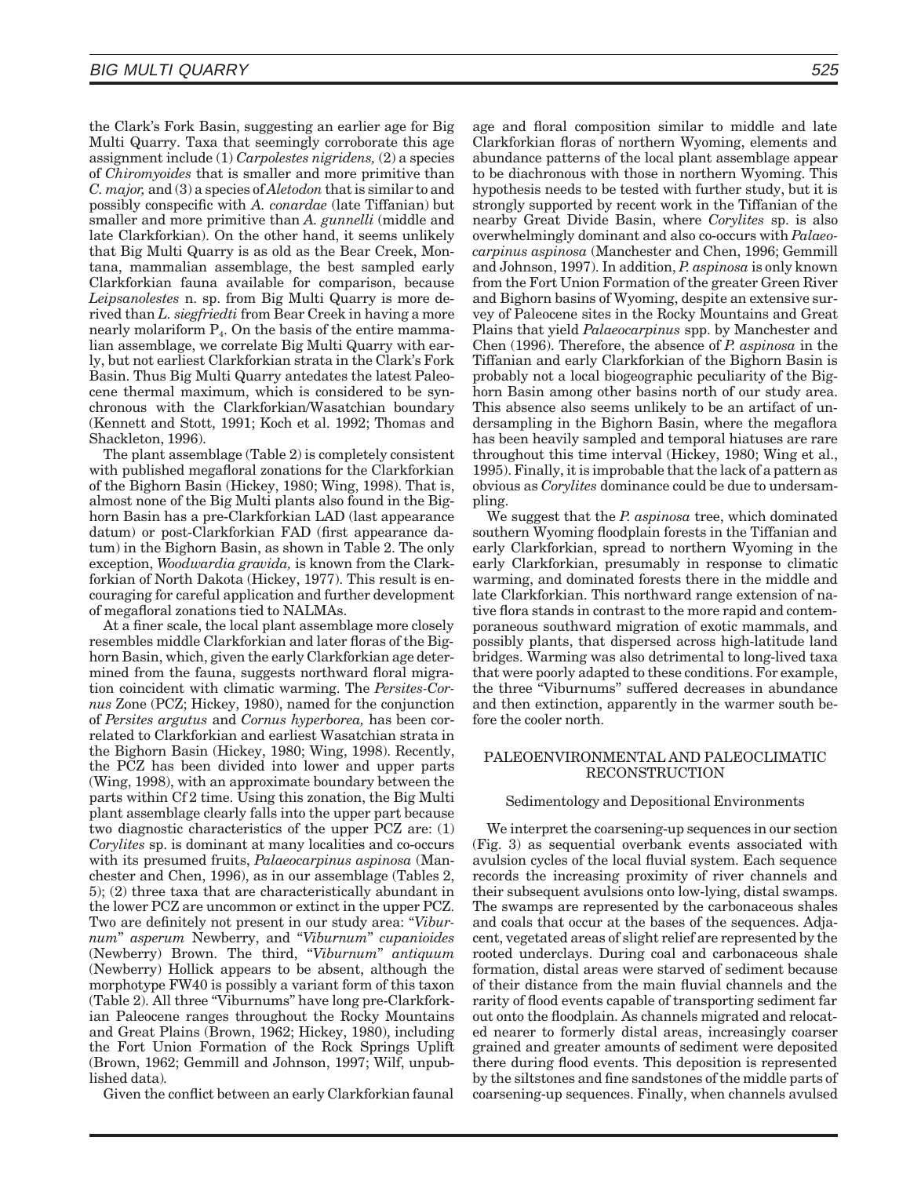the Clark's Fork Basin, suggesting an earlier age for Big Multi Quarry. Taxa that seemingly corroborate this age assignment include (1) *Carpolestes nigridens,* (2) a species of *Chiromyoides* that is smaller and more primitive than *C. major,* and (3) a species of *Aletodon* that is similar to and possibly conspecific with *A. conardae* (late Tiffanian) but smaller and more primitive than *A. gunnelli* (middle and late Clarkforkian). On the other hand, it seems unlikely that Big Multi Quarry is as old as the Bear Creek, Montana, mammalian assemblage, the best sampled early Clarkforkian fauna available for comparison, because *Leipsanolestes* n. sp. from Big Multi Quarry is more derived than *L. siegfriedti* from Bear Creek in having a more nearly molariform  $P<sub>4</sub>$ . On the basis of the entire mammalian assemblage, we correlate Big Multi Quarry with early, but not earliest Clarkforkian strata in the Clark's Fork Basin. Thus Big Multi Quarry antedates the latest Paleocene thermal maximum, which is considered to be synchronous with the Clarkforkian/Wasatchian boundary (Kennett and Stott, 1991; Koch et al. 1992; Thomas and Shackleton, 1996).

The plant assemblage (Table 2) is completely consistent with published megafloral zonations for the Clarkforkian of the Bighorn Basin (Hickey, 1980; Wing, 1998). That is, almost none of the Big Multi plants also found in the Bighorn Basin has a pre-Clarkforkian LAD (last appearance datum) or post-Clarkforkian FAD (first appearance datum) in the Bighorn Basin, as shown in Table 2. The only exception, *Woodwardia gravida,* is known from the Clarkforkian of North Dakota (Hickey, 1977). This result is encouraging for careful application and further development of megafloral zonations tied to NALMAs.

At a finer scale, the local plant assemblage more closely resembles middle Clarkforkian and later floras of the Bighorn Basin, which, given the early Clarkforkian age determined from the fauna, suggests northward floral migration coincident with climatic warming. The *Persites-Cornus* Zone (PCZ; Hickey, 1980), named for the conjunction of *Persites argutus* and *Cornus hyperborea,* has been correlated to Clarkforkian and earliest Wasatchian strata in the Bighorn Basin (Hickey, 1980; Wing, 1998). Recently, the PCZ has been divided into lower and upper parts (Wing, 1998), with an approximate boundary between the parts within Cf 2 time. Using this zonation, the Big Multi plant assemblage clearly falls into the upper part because two diagnostic characteristics of the upper PCZ are: (1) *Corylites* sp. is dominant at many localities and co-occurs with its presumed fruits, *Palaeocarpinus aspinosa* (Manchester and Chen, 1996), as in our assemblage (Tables 2, 5); (2) three taxa that are characteristically abundant in the lower PCZ are uncommon or extinct in the upper PCZ. Two are definitely not present in our study area: "*Viburnum*'' *asperum* Newberry, and ''*Viburnum*'' *cupanioides* (Newberry) Brown. The third, ''*Viburnum*'' *antiquum* (Newberry) Hollick appears to be absent, although the morphotype FW40 is possibly a variant form of this taxon (Table 2). All three ''Viburnums'' have long pre-Clarkforkian Paleocene ranges throughout the Rocky Mountains and Great Plains (Brown, 1962; Hickey, 1980), including the Fort Union Formation of the Rock Springs Uplift (Brown, 1962; Gemmill and Johnson, 1997; Wilf, unpublished data)*.*

Given the conflict between an early Clarkforkian faunal

age and floral composition similar to middle and late Clarkforkian floras of northern Wyoming, elements and abundance patterns of the local plant assemblage appear to be diachronous with those in northern Wyoming. This hypothesis needs to be tested with further study, but it is strongly supported by recent work in the Tiffanian of the nearby Great Divide Basin, where *Corylites* sp. is also overwhelmingly dominant and also co-occurs with *Palaeocarpinus aspinosa* (Manchester and Chen, 1996; Gemmill and Johnson, 1997). In addition, *P. aspinosa* is only known from the Fort Union Formation of the greater Green River and Bighorn basins of Wyoming, despite an extensive survey of Paleocene sites in the Rocky Mountains and Great Plains that yield *Palaeocarpinus* spp. by Manchester and Chen (1996). Therefore, the absence of *P. aspinosa* in the Tiffanian and early Clarkforkian of the Bighorn Basin is probably not a local biogeographic peculiarity of the Bighorn Basin among other basins north of our study area. This absence also seems unlikely to be an artifact of undersampling in the Bighorn Basin, where the megaflora has been heavily sampled and temporal hiatuses are rare throughout this time interval (Hickey, 1980; Wing et al., 1995). Finally, it is improbable that the lack of a pattern as obvious as *Corylites* dominance could be due to undersampling.

We suggest that the *P. aspinosa* tree, which dominated southern Wyoming floodplain forests in the Tiffanian and early Clarkforkian, spread to northern Wyoming in the early Clarkforkian, presumably in response to climatic warming, and dominated forests there in the middle and late Clarkforkian. This northward range extension of native flora stands in contrast to the more rapid and contemporaneous southward migration of exotic mammals, and possibly plants, that dispersed across high-latitude land bridges. Warming was also detrimental to long-lived taxa that were poorly adapted to these conditions. For example, the three ''Viburnums'' suffered decreases in abundance and then extinction, apparently in the warmer south before the cooler north.

# PALEOENVIRONMENTAL AND PALEOCLIMATIC RECONSTRUCTION

## Sedimentology and Depositional Environments

We interpret the coarsening-up sequences in our section (Fig. 3) as sequential overbank events associated with avulsion cycles of the local fluvial system. Each sequence records the increasing proximity of river channels and their subsequent avulsions onto low-lying, distal swamps. The swamps are represented by the carbonaceous shales and coals that occur at the bases of the sequences. Adjacent, vegetated areas of slight relief are represented by the rooted underclays. During coal and carbonaceous shale formation, distal areas were starved of sediment because of their distance from the main fluvial channels and the rarity of flood events capable of transporting sediment far out onto the floodplain. As channels migrated and relocated nearer to formerly distal areas, increasingly coarser grained and greater amounts of sediment were deposited there during flood events. This deposition is represented by the siltstones and fine sandstones of the middle parts of coarsening-up sequences. Finally, when channels avulsed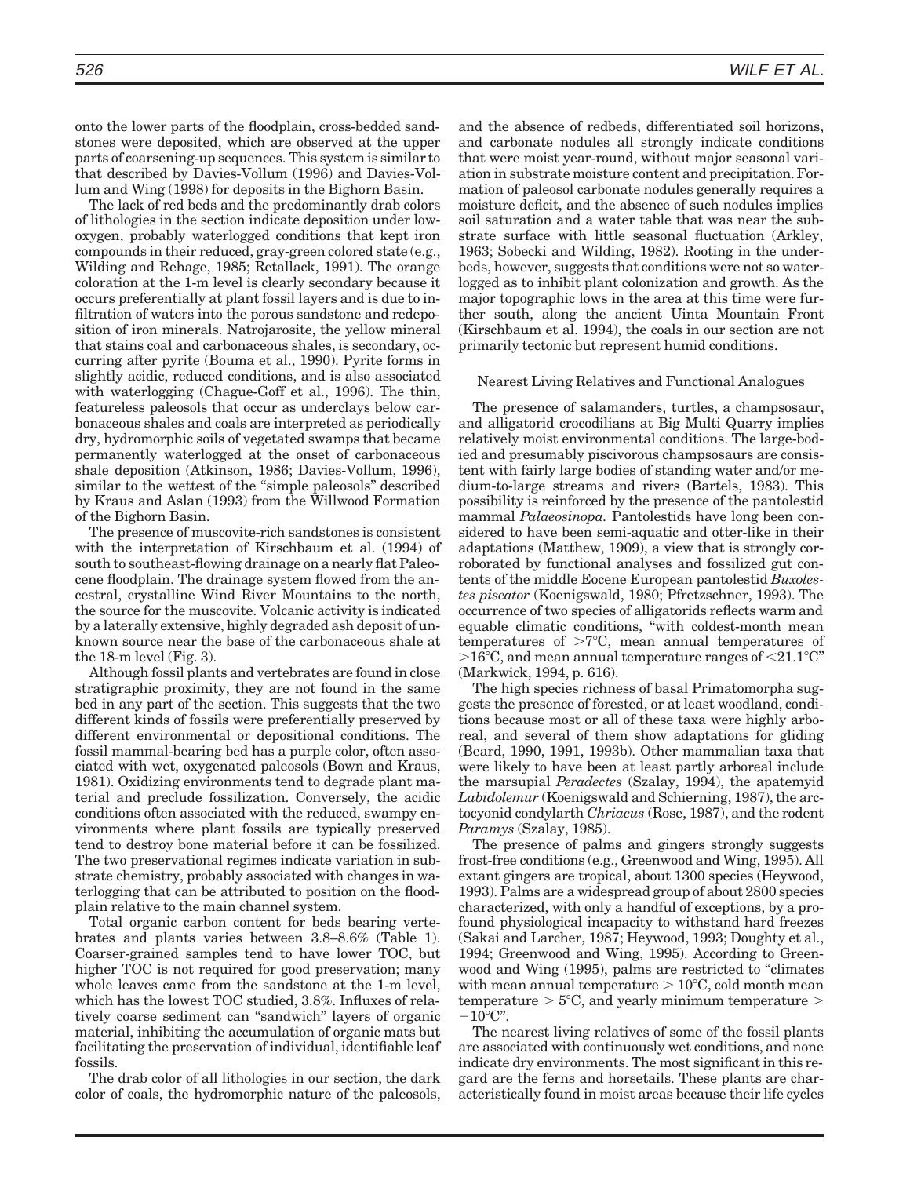onto the lower parts of the floodplain, cross-bedded sandstones were deposited, which are observed at the upper parts of coarsening-up sequences. This system is similar to that described by Davies-Vollum (1996) and Davies-Vollum and Wing (1998) for deposits in the Bighorn Basin.

The lack of red beds and the predominantly drab colors of lithologies in the section indicate deposition under lowoxygen, probably waterlogged conditions that kept iron compounds in their reduced, gray-green colored state (e.g., Wilding and Rehage, 1985; Retallack, 1991). The orange coloration at the 1-m level is clearly secondary because it occurs preferentially at plant fossil layers and is due to infiltration of waters into the porous sandstone and redeposition of iron minerals. Natrojarosite, the yellow mineral that stains coal and carbonaceous shales, is secondary, occurring after pyrite (Bouma et al., 1990). Pyrite forms in slightly acidic, reduced conditions, and is also associated with waterlogging (Chague-Goff et al., 1996). The thin, featureless paleosols that occur as underclays below carbonaceous shales and coals are interpreted as periodically dry, hydromorphic soils of vegetated swamps that became permanently waterlogged at the onset of carbonaceous shale deposition (Atkinson, 1986; Davies-Vollum, 1996), similar to the wettest of the "simple paleosols" described by Kraus and Aslan (1993) from the Willwood Formation of the Bighorn Basin.

The presence of muscovite-rich sandstones is consistent with the interpretation of Kirschbaum et al. (1994) of south to southeast-flowing drainage on a nearly flat Paleocene floodplain. The drainage system flowed from the ancestral, crystalline Wind River Mountains to the north, the source for the muscovite. Volcanic activity is indicated by a laterally extensive, highly degraded ash deposit of unknown source near the base of the carbonaceous shale at the 18-m level (Fig. 3).

Although fossil plants and vertebrates are found in close stratigraphic proximity, they are not found in the same bed in any part of the section. This suggests that the two different kinds of fossils were preferentially preserved by different environmental or depositional conditions. The fossil mammal-bearing bed has a purple color, often associated with wet, oxygenated paleosols (Bown and Kraus, 1981). Oxidizing environments tend to degrade plant material and preclude fossilization. Conversely, the acidic conditions often associated with the reduced, swampy environments where plant fossils are typically preserved tend to destroy bone material before it can be fossilized. The two preservational regimes indicate variation in substrate chemistry, probably associated with changes in waterlogging that can be attributed to position on the floodplain relative to the main channel system.

Total organic carbon content for beds bearing vertebrates and plants varies between 3.8–8.6% (Table 1). Coarser-grained samples tend to have lower TOC, but higher TOC is not required for good preservation; many whole leaves came from the sandstone at the 1-m level, which has the lowest TOC studied, 3.8%. Influxes of relatively coarse sediment can ''sandwich'' layers of organic material, inhibiting the accumulation of organic mats but facilitating the preservation of individual, identifiable leaf fossils.

The drab color of all lithologies in our section, the dark color of coals, the hydromorphic nature of the paleosols, and the absence of redbeds, differentiated soil horizons, and carbonate nodules all strongly indicate conditions that were moist year-round, without major seasonal variation in substrate moisture content and precipitation. Formation of paleosol carbonate nodules generally requires a moisture deficit, and the absence of such nodules implies soil saturation and a water table that was near the substrate surface with little seasonal fluctuation (Arkley, 1963; Sobecki and Wilding, 1982). Rooting in the underbeds, however, suggests that conditions were not so waterlogged as to inhibit plant colonization and growth. As the major topographic lows in the area at this time were further south, along the ancient Uinta Mountain Front (Kirschbaum et al. 1994), the coals in our section are not primarily tectonic but represent humid conditions.

# Nearest Living Relatives and Functional Analogues

The presence of salamanders, turtles, a champsosaur, and alligatorid crocodilians at Big Multi Quarry implies relatively moist environmental conditions. The large-bodied and presumably piscivorous champsosaurs are consistent with fairly large bodies of standing water and/or medium-to-large streams and rivers (Bartels, 1983). This possibility is reinforced by the presence of the pantolestid mammal *Palaeosinopa.* Pantolestids have long been considered to have been semi-aquatic and otter-like in their adaptations (Matthew, 1909), a view that is strongly corroborated by functional analyses and fossilized gut contents of the middle Eocene European pantolestid *Buxolestes piscator* (Koenigswald, 1980; Pfretzschner, 1993). The occurrence of two species of alligatorids reflects warm and equable climatic conditions, ''with coldest-month mean temperatures of  $>7^{\circ}C$ , mean annual temperatures of  $>16^{\circ}$ C, and mean annual temperature ranges of  $<$ 21.1 $^{\circ}$ C" (Markwick, 1994, p. 616).

The high species richness of basal Primatomorpha suggests the presence of forested, or at least woodland, conditions because most or all of these taxa were highly arboreal, and several of them show adaptations for gliding (Beard, 1990, 1991, 1993b). Other mammalian taxa that were likely to have been at least partly arboreal include the marsupial *Peradectes* (Szalay, 1994), the apatemyid *Labidolemur* (Koenigswald and Schierning, 1987), the arctocyonid condylarth *Chriacus* (Rose, 1987), and the rodent *Paramys* (Szalay, 1985).

The presence of palms and gingers strongly suggests frost-free conditions (e.g., Greenwood and Wing, 1995). All extant gingers are tropical, about 1300 species (Heywood, 1993). Palms are a widespread group of about 2800 species characterized, with only a handful of exceptions, by a profound physiological incapacity to withstand hard freezes (Sakai and Larcher, 1987; Heywood, 1993; Doughty et al., 1994; Greenwood and Wing, 1995). According to Greenwood and Wing (1995), palms are restricted to "climates" with mean annual temperature  $> 10^{\circ}$ C, cold month mean temperature  $> 5^{\circ}$ C, and yearly minimum temperature  $>$  $-10^{\circ}$ C".

The nearest living relatives of some of the fossil plants are associated with continuously wet conditions, and none indicate dry environments. The most significant in this regard are the ferns and horsetails. These plants are characteristically found in moist areas because their life cycles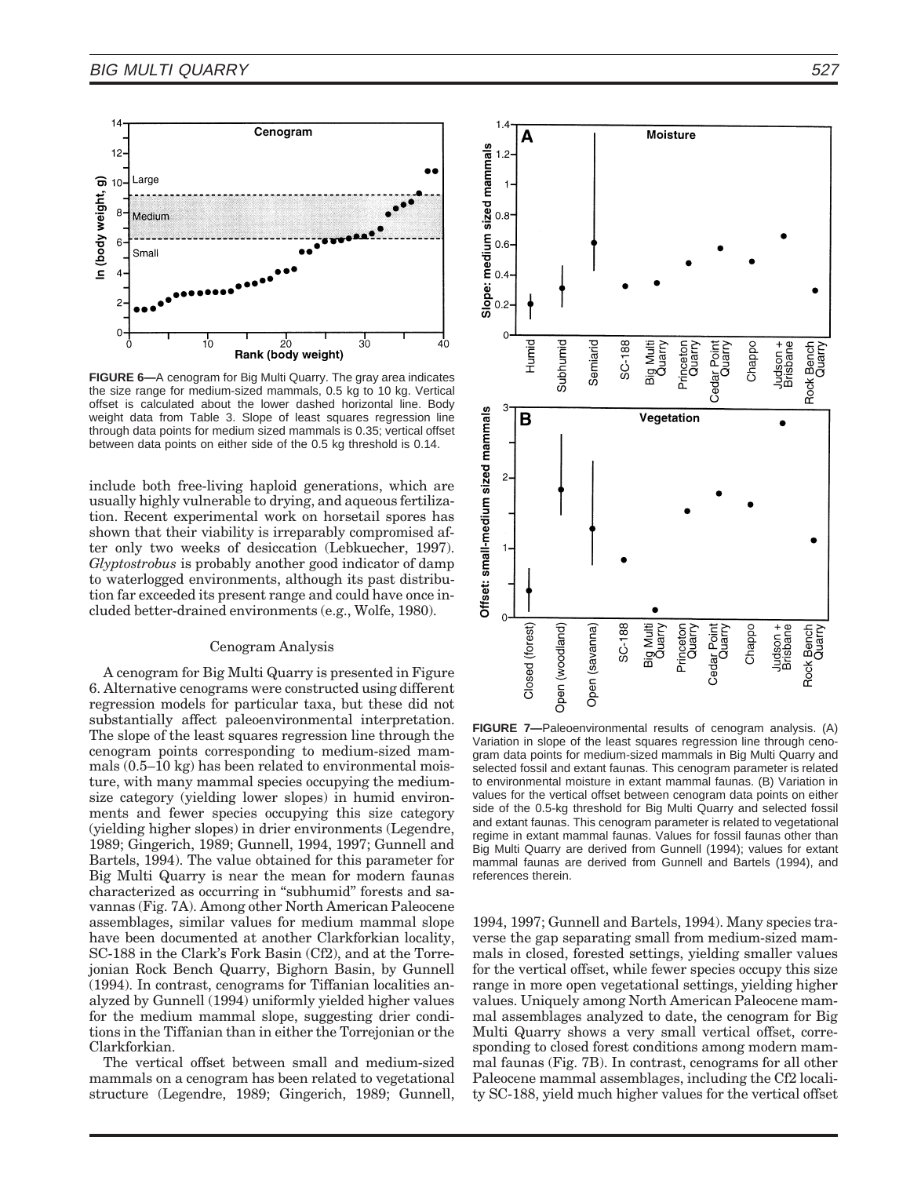

**FIGURE 6—**A cenogram for Big Multi Quarry. The gray area indicates the size range for medium-sized mammals, 0.5 kg to 10 kg. Vertical offset is calculated about the lower dashed horizontal line. Body weight data from Table 3. Slope of least squares regression line through data points for medium sized mammals is 0.35; vertical offset between data points on either side of the 0.5 kg threshold is 0.14.

include both free-living haploid generations, which are usually highly vulnerable to drying, and aqueous fertilization. Recent experimental work on horsetail spores has shown that their viability is irreparably compromised after only two weeks of desiccation (Lebkuecher, 1997). *Glyptostrobus* is probably another good indicator of damp to waterlogged environments, although its past distribution far exceeded its present range and could have once included better-drained environments (e.g., Wolfe, 1980).

## Cenogram Analysis

A cenogram for Big Multi Quarry is presented in Figure 6. Alternative cenograms were constructed using different regression models for particular taxa, but these did not substantially affect paleoenvironmental interpretation. The slope of the least squares regression line through the cenogram points corresponding to medium-sized mammals (0.5–10 kg) has been related to environmental moisture, with many mammal species occupying the mediumsize category (yielding lower slopes) in humid environments and fewer species occupying this size category (yielding higher slopes) in drier environments (Legendre, 1989; Gingerich, 1989; Gunnell, 1994, 1997; Gunnell and Bartels, 1994). The value obtained for this parameter for Big Multi Quarry is near the mean for modern faunas characterized as occurring in "subhumid" forests and savannas (Fig. 7A). Among other North American Paleocene assemblages, similar values for medium mammal slope have been documented at another Clarkforkian locality, SC-188 in the Clark's Fork Basin (Cf2), and at the Torrejonian Rock Bench Quarry, Bighorn Basin, by Gunnell (1994). In contrast, cenograms for Tiffanian localities analyzed by Gunnell (1994) uniformly yielded higher values for the medium mammal slope, suggesting drier conditions in the Tiffanian than in either the Torrejonian or the Clarkforkian.

The vertical offset between small and medium-sized mammals on a cenogram has been related to vegetational structure (Legendre, 1989; Gingerich, 1989; Gunnell,



**FIGURE 7—**Paleoenvironmental results of cenogram analysis. (A) Variation in slope of the least squares regression line through cenogram data points for medium-sized mammals in Big Multi Quarry and selected fossil and extant faunas. This cenogram parameter is related to environmental moisture in extant mammal faunas. (B) Variation in values for the vertical offset between cenogram data points on either side of the 0.5-kg threshold for Big Multi Quarry and selected fossil and extant faunas. This cenogram parameter is related to vegetational regime in extant mammal faunas. Values for fossil faunas other than Big Multi Quarry are derived from Gunnell (1994); values for extant mammal faunas are derived from Gunnell and Bartels (1994), and references therein.

1994, 1997; Gunnell and Bartels, 1994). Many species traverse the gap separating small from medium-sized mammals in closed, forested settings, yielding smaller values for the vertical offset, while fewer species occupy this size range in more open vegetational settings, yielding higher values. Uniquely among North American Paleocene mammal assemblages analyzed to date, the cenogram for Big Multi Quarry shows a very small vertical offset, corresponding to closed forest conditions among modern mammal faunas (Fig. 7B). In contrast, cenograms for all other Paleocene mammal assemblages, including the Cf2 locality SC-188, yield much higher values for the vertical offset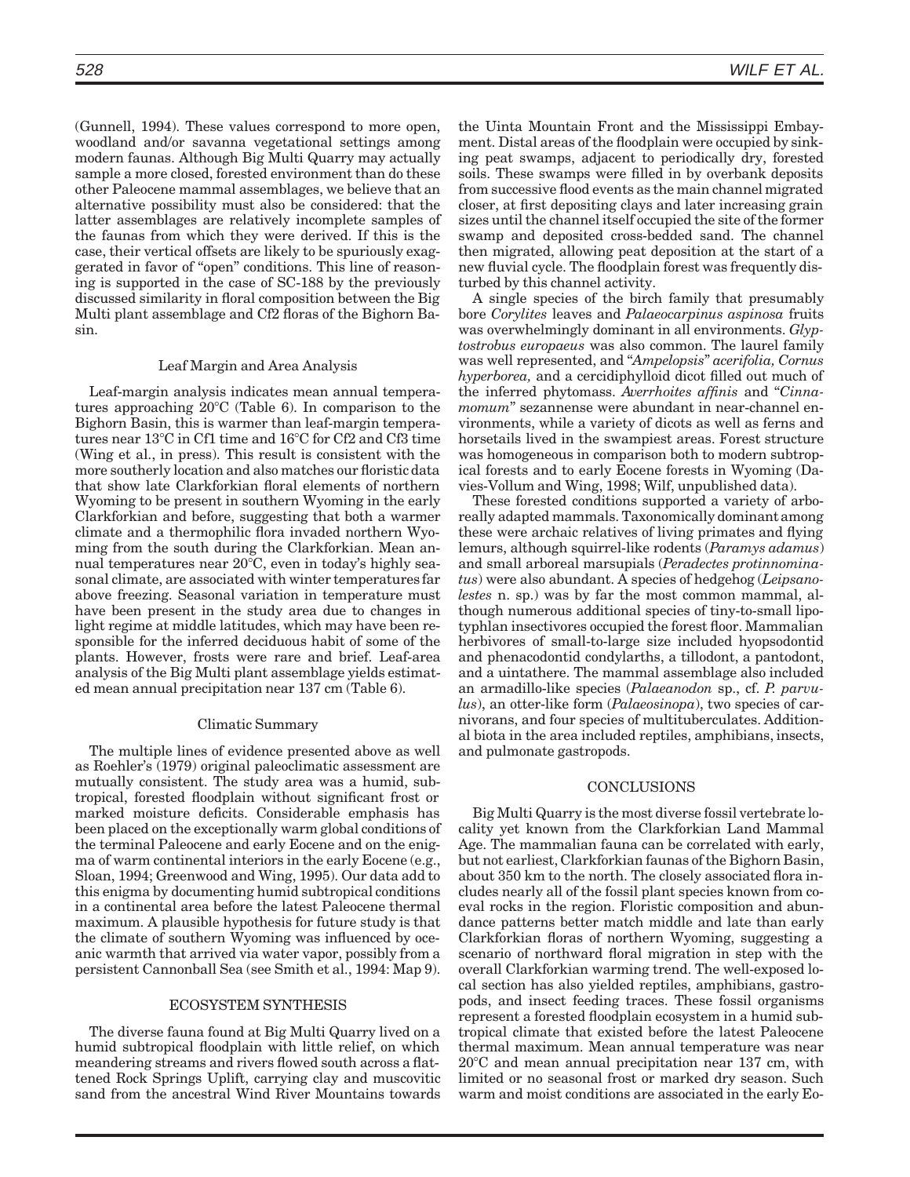(Gunnell, 1994). These values correspond to more open, woodland and/or savanna vegetational settings among modern faunas. Although Big Multi Quarry may actually sample a more closed, forested environment than do these other Paleocene mammal assemblages, we believe that an alternative possibility must also be considered: that the latter assemblages are relatively incomplete samples of the faunas from which they were derived. If this is the case, their vertical offsets are likely to be spuriously exaggerated in favor of "open" conditions. This line of reasoning is supported in the case of SC-188 by the previously discussed similarity in floral composition between the Big Multi plant assemblage and Cf2 floras of the Bighorn Basin.

## Leaf Margin and Area Analysis

Leaf-margin analysis indicates mean annual temperatures approaching  $20^{\circ}$ C (Table 6). In comparison to the Bighorn Basin, this is warmer than leaf-margin temperatures near  $13^{\circ}$ C in Cf1 time and  $16^{\circ}$ C for Cf2 and Cf3 time (Wing et al., in press). This result is consistent with the more southerly location and also matches our floristic data that show late Clarkforkian floral elements of northern Wyoming to be present in southern Wyoming in the early Clarkforkian and before, suggesting that both a warmer climate and a thermophilic flora invaded northern Wyoming from the south during the Clarkforkian. Mean annual temperatures near  $20^{\circ}$ C, even in today's highly seasonal climate, are associated with winter temperaturesfar above freezing. Seasonal variation in temperature must have been present in the study area due to changes in light regime at middle latitudes, which may have been responsible for the inferred deciduous habit of some of the plants. However, frosts were rare and brief. Leaf-area analysis of the Big Multi plant assemblage yields estimated mean annual precipitation near 137 cm (Table 6).

# Climatic Summary

The multiple lines of evidence presented above as well as Roehler's (1979) original paleoclimatic assessment are mutually consistent. The study area was a humid, subtropical, forested floodplain without significant frost or marked moisture deficits. Considerable emphasis has been placed on the exceptionally warm global conditions of the terminal Paleocene and early Eocene and on the enigma of warm continental interiors in the early Eocene (e.g., Sloan, 1994; Greenwood and Wing, 1995). Our data add to this enigma by documenting humid subtropical conditions in a continental area before the latest Paleocene thermal maximum. A plausible hypothesis for future study is that the climate of southern Wyoming was influenced by oceanic warmth that arrived via water vapor, possibly from a persistent Cannonball Sea (see Smith et al., 1994: Map 9).

# ECOSYSTEM SYNTHESIS

The diverse fauna found at Big Multi Quarry lived on a humid subtropical floodplain with little relief, on which meandering streams and rivers flowed south across a flattened Rock Springs Uplift, carrying clay and muscovitic sand from the ancestral Wind River Mountains towards

the Uinta Mountain Front and the Mississippi Embayment. Distal areas of the floodplain were occupied by sinking peat swamps, adjacent to periodically dry, forested soils. These swamps were filled in by overbank deposits from successive flood events as the main channel migrated closer, at first depositing clays and later increasing grain sizes until the channel itself occupied the site of the former swamp and deposited cross-bedded sand. The channel then migrated, allowing peat deposition at the start of a new fluvial cycle. The floodplain forest was frequently disturbed by this channel activity.

A single species of the birch family that presumably bore *Corylites* leaves and *Palaeocarpinus aspinosa* fruits was overwhelmingly dominant in all environments. *Glyptostrobus europaeus* was also common. The laurel family was well represented, and ''*Ampelopsis*'' *acerifolia, Cornus hyperborea,* and a cercidiphylloid dicot filled out much of the inferred phytomass. *Averrhoites affinis* and ''*Cinnamomum*'' sezannense were abundant in near-channel environments, while a variety of dicots as well as ferns and horsetails lived in the swampiest areas. Forest structure was homogeneous in comparison both to modern subtropical forests and to early Eocene forests in Wyoming (Davies-Vollum and Wing, 1998; Wilf, unpublished data).

These forested conditions supported a variety of arboreally adapted mammals. Taxonomically dominantamong these were archaic relatives of living primates and flying lemurs, although squirrel-like rodents (*Paramys adamus*) and small arboreal marsupials (*Peradectes protinnominatus*) were also abundant. A species of hedgehog (*Leipsanolestes* n. sp.) was by far the most common mammal, although numerous additional species of tiny-to-small lipotyphlan insectivores occupied the forest floor. Mammalian herbivores of small-to-large size included hyopsodontid and phenacodontid condylarths, a tillodont, a pantodont, and a uintathere. The mammal assemblage also included an armadillo-like species (*Palaeanodon* sp., cf. *P. parvulus*), an otter-like form (*Palaeosinopa*), two species of carnivorans, and four species of multituberculates. Additional biota in the area included reptiles, amphibians, insects, and pulmonate gastropods.

#### CONCLUSIONS

Big Multi Quarry is the most diverse fossil vertebrate locality yet known from the Clarkforkian Land Mammal Age. The mammalian fauna can be correlated with early, but not earliest, Clarkforkian faunas of the Bighorn Basin, about 350 km to the north. The closely associated flora includes nearly all of the fossil plant species known from coeval rocks in the region. Floristic composition and abundance patterns better match middle and late than early Clarkforkian floras of northern Wyoming, suggesting a scenario of northward floral migration in step with the overall Clarkforkian warming trend. The well-exposed local section has also yielded reptiles, amphibians, gastropods, and insect feeding traces. These fossil organisms represent a forested floodplain ecosystem in a humid subtropical climate that existed before the latest Paleocene thermal maximum. Mean annual temperature was near  $20^{\circ}$ C and mean annual precipitation near 137 cm, with limited or no seasonal frost or marked dry season. Such warm and moist conditions are associated in the early Eo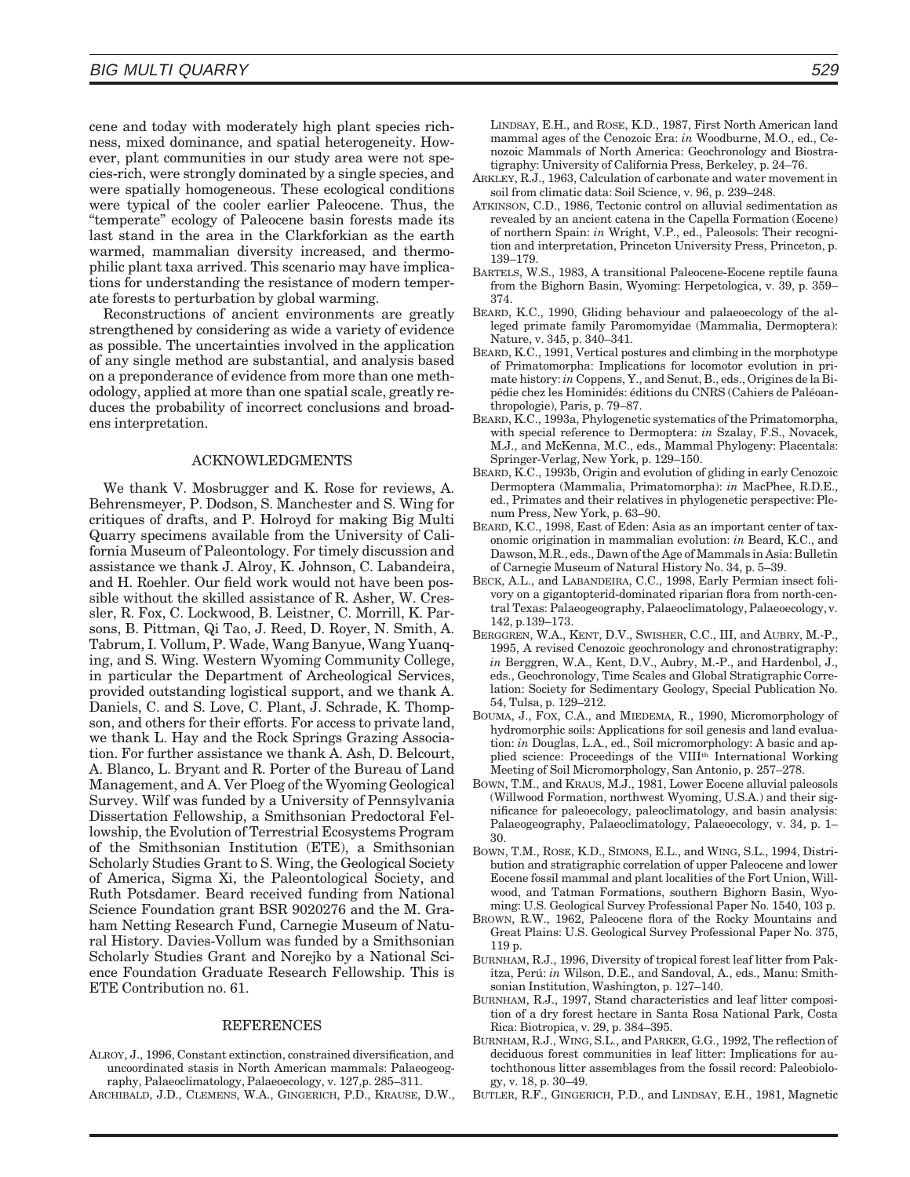cene and today with moderately high plant species richness, mixed dominance, and spatial heterogeneity. However, plant communities in our study area were not species-rich, were strongly dominated by a single species, and were spatially homogeneous. These ecological conditions were typical of the cooler earlier Paleocene. Thus, the ''temperate'' ecology of Paleocene basin forests made its last stand in the area in the Clarkforkian as the earth warmed, mammalian diversity increased, and thermophilic plant taxa arrived. This scenario may have implications for understanding the resistance of modern temperate forests to perturbation by global warming.

Reconstructions of ancient environments are greatly strengthened by considering as wide a variety of evidence as possible. The uncertainties involved in the application of any single method are substantial, and analysis based on a preponderance of evidence from more than one methodology, applied at more than one spatial scale, greatly reduces the probability of incorrect conclusions and broadens interpretation.

## ACKNOWLEDGMENTS

We thank V. Mosbrugger and K. Rose for reviews, A. Behrensmeyer, P. Dodson, S. Manchester and S. Wing for critiques of drafts, and P. Holroyd for making Big Multi Quarry specimens available from the University of California Museum of Paleontology. For timely discussion and assistance we thank J. Alroy, K. Johnson, C. Labandeira, and H. Roehler. Our field work would not have been possible without the skilled assistance of R. Asher, W. Cressler, R. Fox, C. Lockwood, B. Leistner, C. Morrill, K. Parsons, B. Pittman, Qi Tao, J. Reed, D. Royer, N. Smith, A. Tabrum, I. Vollum, P. Wade, Wang Banyue, Wang Yuanqing, and S. Wing. Western Wyoming Community College, in particular the Department of Archeological Services, provided outstanding logistical support, and we thank A. Daniels, C. and S. Love, C. Plant, J. Schrade, K. Thompson, and others for their efforts. For access to private land, we thank L. Hay and the Rock Springs Grazing Association. For further assistance we thank A. Ash, D. Belcourt, A. Blanco, L. Bryant and R. Porter of the Bureau of Land Management, and A. Ver Ploeg of the Wyoming Geological Survey. Wilf was funded by a University of Pennsylvania Dissertation Fellowship, a Smithsonian Predoctoral Fellowship, the Evolution of Terrestrial Ecosystems Program of the Smithsonian Institution (ETE), a Smithsonian Scholarly Studies Grant to S. Wing, the Geological Society of America, Sigma Xi, the Paleontological Society, and Ruth Potsdamer. Beard received funding from National Science Foundation grant BSR 9020276 and the M. Graham Netting Research Fund, Carnegie Museum of Natural History. Davies-Vollum was funded by a Smithsonian Scholarly Studies Grant and Norejko by a National Science Foundation Graduate Research Fellowship. This is ETE Contribution no. 61.

## REFERENCES

- ALROY, J., 1996, Constant extinction, constrained diversification, and uncoordinated stasis in North American mammals: Palaeogeography, Palaeoclimatology, Palaeoecology, v. 127,p. 285–311.
- ARCHIBALD, J.D., CLEMENS, W.A., GINGERICH, P.D., KRAUSE, D.W.,

LINDSAY, E.H., and ROSE, K.D., 1987, First North American land mammal ages of the Cenozoic Era: *in* Woodburne, M.O., ed., Cenozoic Mammals of North America: Geochronology and Biostratigraphy: University of California Press, Berkeley, p. 24–76.

- ARKLEY, R.J., 1963, Calculation of carbonate and water movement in soil from climatic data: Soil Science, v. 96, p. 239–248.
- ATKINSON, C.D., 1986, Tectonic control on alluvial sedimentation as revealed by an ancient catena in the Capella Formation (Eocene) of northern Spain: *in* Wright, V.P., ed., Paleosols: Their recognition and interpretation, Princeton University Press, Princeton, p. 139–179.
- BARTELS, W.S., 1983, A transitional Paleocene-Eocene reptile fauna from the Bighorn Basin, Wyoming: Herpetologica, v. 39, p. 359– 374.
- BEARD, K.C., 1990, Gliding behaviour and palaeoecology of the alleged primate family Paromomyidae (Mammalia, Dermoptera): Nature, v. 345, p. 340–341.
- BEARD, K.C., 1991, Vertical postures and climbing in the morphotype of Primatomorpha: Implications for locomotor evolution in primate history: *in* Coppens, Y., and Senut, B., eds., Origines de la Bipédie chez les Hominidés: éditions du CNRS (Cahiers de Paléoanthropologie), Paris, p. 79–87.
- BEARD, K.C., 1993a, Phylogenetic systematics of the Primatomorpha, with special reference to Dermoptera: *in* Szalay, F.S., Novacek, M.J., and McKenna, M.C., eds., Mammal Phylogeny: Placentals: Springer-Verlag, New York, p. 129–150.
- BEARD, K.C., 1993b, Origin and evolution of gliding in early Cenozoic Dermoptera (Mammalia, Primatomorpha): *in* MacPhee, R.D.E., ed., Primates and their relatives in phylogenetic perspective: Plenum Press, New York, p. 63–90.
- BEARD, K.C., 1998, East of Eden: Asia as an important center of taxonomic origination in mammalian evolution: *in* Beard, K.C., and Dawson, M.R., eds., Dawn of the Age of Mammals in Asia: Bulletin of Carnegie Museum of Natural History No. 34, p. 5–39.
- BECK, A.L., and LABANDEIRA, C.C., 1998, Early Permian insect folivory on a gigantopterid-dominated riparian flora from north-central Texas: Palaeogeography, Palaeoclimatology, Palaeoecology,v. 142, p.139–173.
- BERGGREN, W.A., KENT, D.V., SWISHER, C.C., III, and AUBRY, M.-P., 1995, A revised Cenozoic geochronology and chronostratigraphy: *in* Berggren, W.A., Kent, D.V., Aubry, M.-P., and Hardenbol, J., eds., Geochronology, Time Scales and Global Stratigraphic Correlation: Society for Sedimentary Geology, Special Publication No. 54, Tulsa, p. 129–212.
- BOUMA, J., FOX, C.A., and MIEDEMA, R., 1990, Micromorphology of hydromorphic soils: Applications for soil genesis and land evaluation: *in* Douglas, L.A., ed., Soil micromorphology: A basic and applied science: Proceedings of the VIII<sup>th</sup> International Working Meeting of Soil Micromorphology, San Antonio, p. 257–278.
- BOWN, T.M., and KRAUS, M.J., 1981, Lower Eocene alluvial paleosols (Willwood Formation, northwest Wyoming, U.S.A.) and their significance for paleoecology, paleoclimatology, and basin analysis: Palaeogeography, Palaeoclimatology, Palaeoecology, v. 34, p. 1– 30.
- BOWN, T.M., ROSE, K.D., SIMONS, E.L., and WING, S.L., 1994, Distribution and stratigraphic correlation of upper Paleocene and lower Eocene fossil mammal and plant localities of the Fort Union, Willwood, and Tatman Formations, southern Bighorn Basin, Wyoming: U.S. Geological Survey Professional Paper No. 1540, 103 p.
- BROWN, R.W., 1962, Paleocene flora of the Rocky Mountains and Great Plains: U.S. Geological Survey Professional Paper No. 375, 119 p.
- BURNHAM, R.J., 1996, Diversity of tropical forest leaf litter from Pakitza, Perú: in Wilson, D.E., and Sandoval, A., eds., Manu: Smithsonian Institution, Washington, p. 127–140.
- BURNHAM, R.J., 1997, Stand characteristics and leaf litter composition of a dry forest hectare in Santa Rosa National Park, Costa Rica: Biotropica, v. 29, p. 384–395.
- BURNHAM, R.J., WING, S.L., and PARKER, G.G., 1992, The reflection of deciduous forest communities in leaf litter: Implications for autochthonous litter assemblages from the fossil record: Paleobiology, v. 18, p. 30–49.
- BUTLER, R.F., GINGERICH, P.D., and LINDSAY, E.H., 1981, Magnetic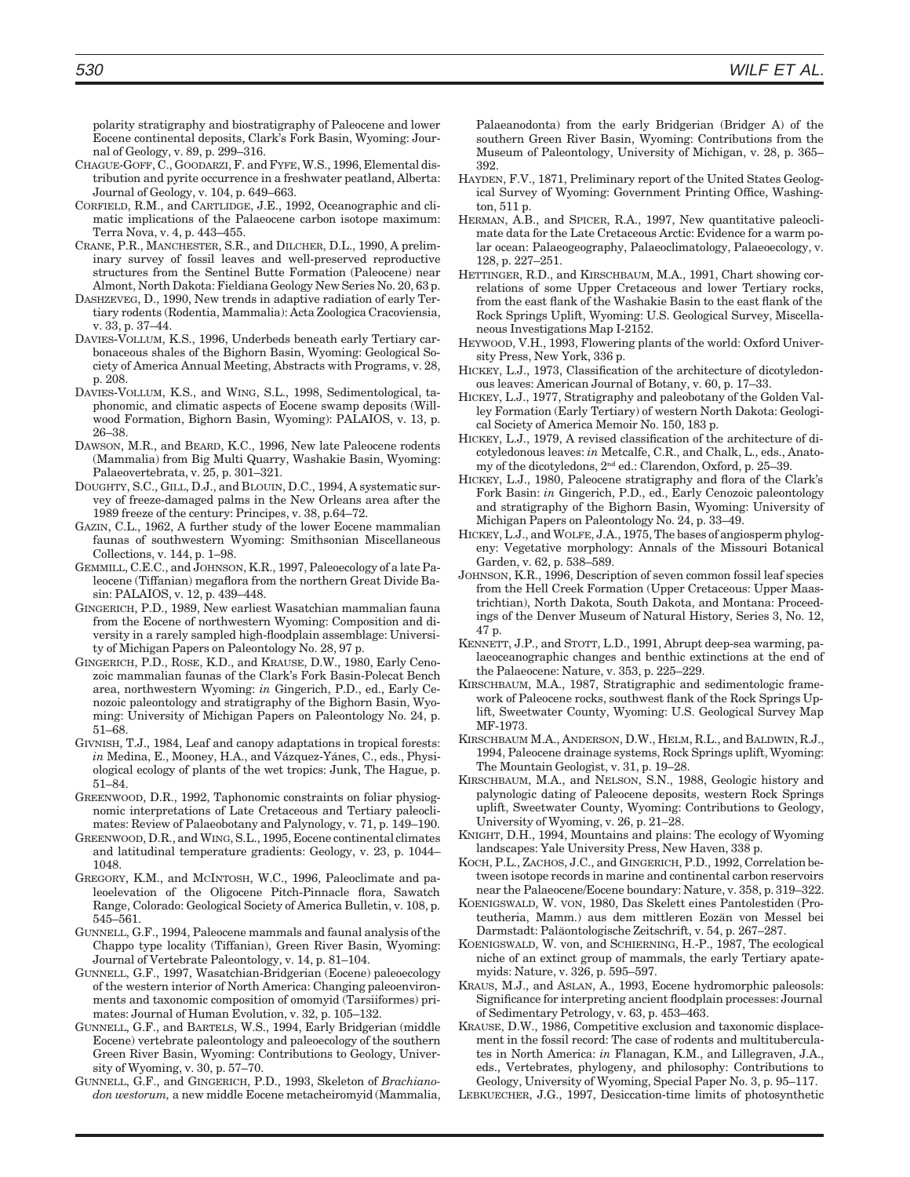polarity stratigraphy and biostratigraphy of Paleocene and lower Eocene continental deposits, Clark's Fork Basin, Wyoming: Journal of Geology, v. 89, p. 299–316.

- CHAGUE-GOFF, C., GOODARZI, F. and FYFE, W.S., 1996, Elementaldistribution and pyrite occurrence in a freshwater peatland, Alberta: Journal of Geology, v. 104, p. 649–663.
- CORFIELD, R.M., and CARTLIDGE, J.E., 1992, Oceanographic and climatic implications of the Palaeocene carbon isotope maximum: Terra Nova, v. 4, p. 443–455.
- CRANE, P.R., MANCHESTER, S.R., and DILCHER, D.L., 1990, A preliminary survey of fossil leaves and well-preserved reproductive structures from the Sentinel Butte Formation (Paleocene) near Almont, North Dakota: Fieldiana Geology New Series No. 20, 63 p.
- DASHZEVEG, D., 1990, New trends in adaptive radiation of early Tertiary rodents (Rodentia, Mammalia): Acta Zoologica Cracoviensia, v. 33, p. 37–44.
- DAVIES-VOLLUM, K.S., 1996, Underbeds beneath early Tertiary carbonaceous shales of the Bighorn Basin, Wyoming: Geological Society of America Annual Meeting, Abstracts with Programs, v. 28, p. 208.
- DAVIES-VOLLUM, K.S., and WING, S.L., 1998, Sedimentological, taphonomic, and climatic aspects of Eocene swamp deposits (Willwood Formation, Bighorn Basin, Wyoming): PALAIOS, v. 13, p. 26–38.
- DAWSON, M.R., and BEARD, K.C., 1996, New late Paleocene rodents (Mammalia) from Big Multi Quarry, Washakie Basin, Wyoming: Palaeovertebrata, v. 25, p. 301–321.
- DOUGHTY, S.C., GILL, D.J., and BLOUIN, D.C., 1994, A systematic survey of freeze-damaged palms in the New Orleans area after the 1989 freeze of the century: Principes, v. 38, p.64–72.
- GAZIN, C.L., 1962, A further study of the lower Eocene mammalian faunas of southwestern Wyoming: Smithsonian Miscellaneous Collections, v. 144, p. 1–98.
- GEMMILL, C.E.C., and JOHNSON, K.R., 1997, Paleoecology of a late Paleocene (Tiffanian) megaflora from the northern Great Divide Basin: PALAIOS, v. 12, p. 439–448.
- GINGERICH, P.D., 1989, New earliest Wasatchian mammalian fauna from the Eocene of northwestern Wyoming: Composition and diversity in a rarely sampled high-floodplain assemblage: University of Michigan Papers on Paleontology No. 28, 97 p.
- GINGERICH, P.D., ROSE, K.D., and KRAUSE, D.W., 1980, Early Cenozoic mammalian faunas of the Clark's Fork Basin-Polecat Bench area, northwestern Wyoming: *in* Gingerich, P.D., ed., Early Cenozoic paleontology and stratigraphy of the Bighorn Basin, Wyoming: University of Michigan Papers on Paleontology No. 24, p. 51–68.
- GIVNISH, T.J., 1984, Leaf and canopy adaptations in tropical forests: in Medina, E., Mooney, H.A., and Vázquez-Yánes, C., eds., Physiological ecology of plants of the wet tropics: Junk, The Hague, p. 51–84.
- GREENWOOD, D.R., 1992, Taphonomic constraints on foliar physiognomic interpretations of Late Cretaceous and Tertiary paleoclimates: Review of Palaeobotany and Palynology, v. 71, p. 149–190.
- GREENWOOD, D.R., and WING, S.L., 1995, Eocene continentalclimates and latitudinal temperature gradients: Geology, v. 23, p. 1044– 1048.
- GREGORY, K.M., and MCINTOSH, W.C., 1996, Paleoclimate and paleoelevation of the Oligocene Pitch-Pinnacle flora, Sawatch Range, Colorado: Geological Society of America Bulletin, v. 108, p. 545–561.
- GUNNELL, G.F., 1994, Paleocene mammals and faunal analysis of the Chappo type locality (Tiffanian), Green River Basin, Wyoming: Journal of Vertebrate Paleontology, v. 14, p. 81–104.
- GUNNELL, G.F., 1997, Wasatchian-Bridgerian (Eocene) paleoecology of the western interior of North America: Changing paleoenvironments and taxonomic composition of omomyid (Tarsiiformes) primates: Journal of Human Evolution, v. 32, p. 105–132.
- GUNNELL, G.F., and BARTELS, W.S., 1994, Early Bridgerian (middle Eocene) vertebrate paleontology and paleoecology of the southern Green River Basin, Wyoming: Contributions to Geology, University of Wyoming, v. 30, p. 57–70.
- GUNNELL, G.F., and GINGERICH, P.D., 1993, Skeleton of *Brachianodon westorum,* a new middle Eocene metacheiromyid (Mammalia,

Palaeanodonta) from the early Bridgerian (Bridger A) of the southern Green River Basin, Wyoming: Contributions from the Museum of Paleontology, University of Michigan, v. 28, p. 365– 392.

- HAYDEN, F.V., 1871, Preliminary report of the United States Geological Survey of Wyoming: Government Printing Office, Washington, 511 p.
- HERMAN, A.B., and SPICER, R.A., 1997, New quantitative paleoclimate data for the Late Cretaceous Arctic: Evidence for a warm polar ocean: Palaeogeography, Palaeoclimatology, Palaeoecology, v. 128, p. 227–251.
- HETTINGER, R.D., and KIRSCHBAUM, M.A., 1991, Chart showing correlations of some Upper Cretaceous and lower Tertiary rocks, from the east flank of the Washakie Basin to the east flank of the Rock Springs Uplift, Wyoming: U.S. Geological Survey, Miscellaneous Investigations Map I-2152.
- HEYWOOD, V.H., 1993, Flowering plants of the world: Oxford University Press, New York, 336 p.
- HICKEY, L.J., 1973, Classification of the architecture of dicotyledonous leaves: American Journal of Botany, v. 60, p. 17–33.
- HICKEY, L.J., 1977, Stratigraphy and paleobotany of the Golden Valley Formation (Early Tertiary) of western North Dakota: Geological Society of America Memoir No. 150, 183 p.
- HICKEY, L.J., 1979, A revised classification of the architecture of dicotyledonous leaves: *in* Metcalfe, C.R., and Chalk, L., eds., Anatomy of the dicotyledons, 2nd ed.: Clarendon, Oxford, p. 25–39.
- HICKEY, L.J., 1980, Paleocene stratigraphy and flora of the Clark's Fork Basin: *in* Gingerich, P.D., ed., Early Cenozoic paleontology and stratigraphy of the Bighorn Basin, Wyoming: University of Michigan Papers on Paleontology No. 24, p. 33–49.
- HICKEY, L.J., and WOLFE, J.A., 1975, The bases of angiospermphylogeny: Vegetative morphology: Annals of the Missouri Botanical Garden, v. 62, p. 538–589.
- JOHNSON, K.R., 1996, Description of seven common fossil leaf species from the Hell Creek Formation (Upper Cretaceous: Upper Maastrichtian), North Dakota, South Dakota, and Montana: Proceedings of the Denver Museum of Natural History, Series 3, No. 12, 47 p.
- KENNETT, J.P., and STOTT, L.D., 1991, Abrupt deep-sea warming, palaeoceanographic changes and benthic extinctions at the end of the Palaeocene: Nature, v. 353, p. 225–229.
- KIRSCHBAUM, M.A., 1987, Stratigraphic and sedimentologic framework of Paleocene rocks, southwest flank of the Rock Springs Uplift, Sweetwater County, Wyoming: U.S. Geological Survey Map MF-1973.
- KIRSCHBAUM M.A., ANDERSON, D.W., HELM, R.L., and BALDWIN, R.J., 1994, Paleocene drainage systems, Rock Springs uplift, Wyoming: The Mountain Geologist, v. 31, p. 19–28.
- KIRSCHBAUM, M.A., and NELSON, S.N., 1988, Geologic history and palynologic dating of Paleocene deposits, western Rock Springs uplift, Sweetwater County, Wyoming: Contributions to Geology, University of Wyoming, v. 26, p. 21–28.
- KNIGHT, D.H., 1994, Mountains and plains: The ecology of Wyoming landscapes: Yale University Press, New Haven, 338 p.
- KOCH, P.L., ZACHOS, J.C., and GINGERICH, P.D., 1992, Correlation between isotope records in marine and continental carbon reservoirs near the Palaeocene/Eocene boundary: Nature, v. 358, p. 319–322.
- KOENIGSWALD, W. VON, 1980, Das Skelett eines Pantolestiden (Proteutheria, Mamm.) aus dem mittleren Eozän von Messel bei Darmstadt: Pala¨ontologische Zeitschrift, v. 54, p. 267–287.
- KOENIGSWALD, W. von, and SCHIERNING, H.-P., 1987, The ecological niche of an extinct group of mammals, the early Tertiary apatemyids: Nature, v. 326, p. 595–597.
- KRAUS, M.J., and ASLAN, A., 1993, Eocene hydromorphic paleosols: Significance for interpreting ancient floodplain processes: Journal of Sedimentary Petrology, v. 63, p. 453–463.
- KRAUSE, D.W., 1986, Competitive exclusion and taxonomic displacement in the fossil record: The case of rodents and multituberculates in North America: *in* Flanagan, K.M., and Lillegraven, J.A., eds., Vertebrates, phylogeny, and philosophy: Contributions to Geology, University of Wyoming, Special Paper No. 3, p. 95–117.
- LEBKUECHER, J.G., 1997, Desiccation-time limits of photosynthetic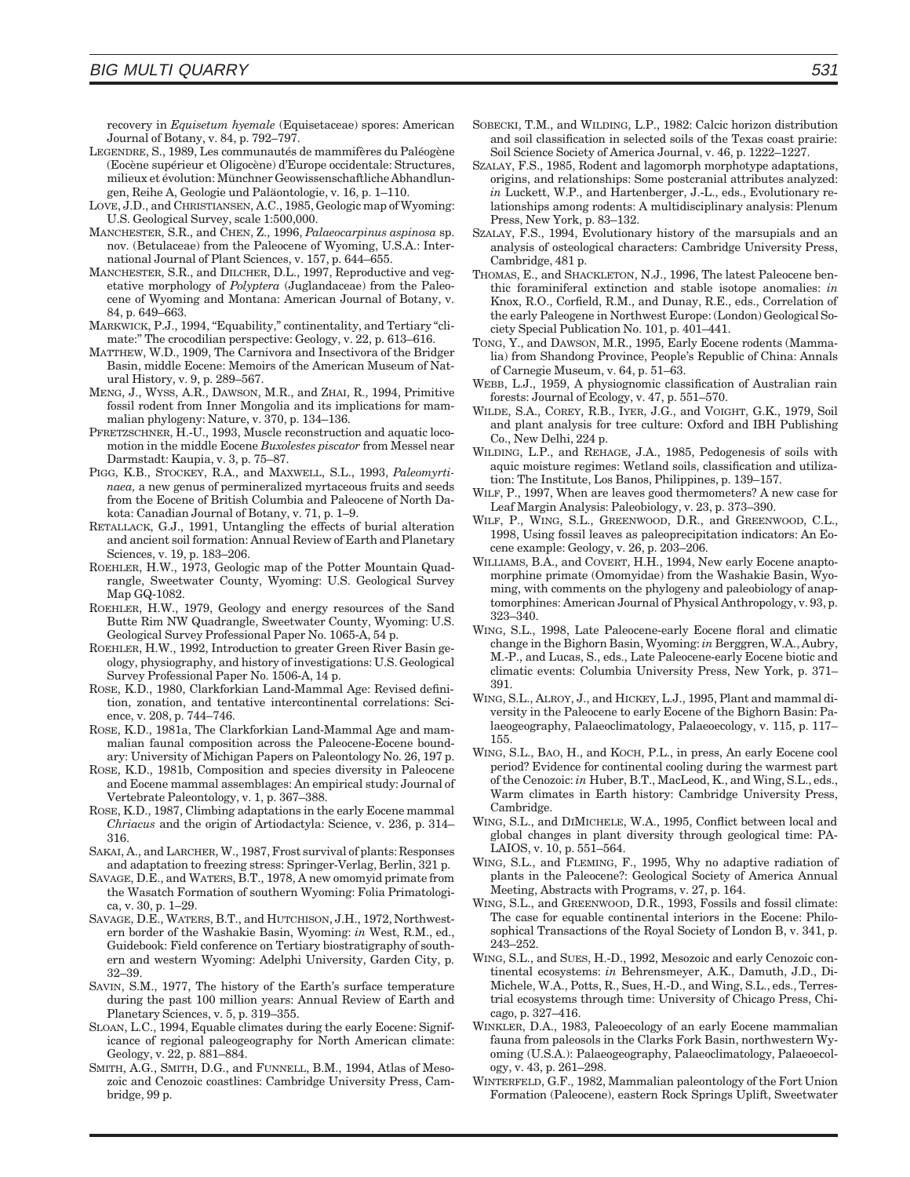recovery in *Equisetum hyemale* (Equisetaceae) spores: American Journal of Botany, v. 84, p. 792–797.

- LEGENDRE, S., 1989, Les communautés de mammifères du Paléogène (Eocène supérieur et Oligocène) d'Europe occidentale: Structures, milieux et évolution: Münchner Geowissenschaftliche Abhandlungen, Reihe A, Geologie und Paläontologie, v. 16, p. 1–110.
- LOVE, J.D., and CHRISTIANSEN, A.C., 1985, Geologic map of Wyoming: U.S. Geological Survey, scale 1:500,000.
- MANCHESTER, S.R., and CHEN, Z., 1996, *Palaeocarpinus aspinosa* sp. nov. (Betulaceae) from the Paleocene of Wyoming, U.S.A.: International Journal of Plant Sciences, v. 157, p. 644–655.
- MANCHESTER, S.R., and DILCHER, D.L., 1997, Reproductive and vegetative morphology of *Polyptera* (Juglandaceae) from the Paleocene of Wyoming and Montana: American Journal of Botany, v. 84, p. 649–663.
- MARKWICK, P.J., 1994, "Equability," continentality, and Tertiary "climate:'' The crocodilian perspective: Geology, v. 22, p. 613–616.
- MATTHEW, W.D., 1909, The Carnivora and Insectivora of the Bridger Basin, middle Eocene: Memoirs of the American Museum of Natural History, v. 9, p. 289–567.
- MENG, J., WYSS, A.R., DAWSON, M.R., and ZHAI, R., 1994, Primitive fossil rodent from Inner Mongolia and its implications for mammalian phylogeny: Nature, v. 370, p. 134–136.
- PFRETZSCHNER, H.-U., 1993, Muscle reconstruction and aquatic locomotion in the middle Eocene *Buxolestes piscator* from Messel near Darmstadt: Kaupia, v. 3, p. 75–87.
- PIGG, K.B., STOCKEY, R.A., and MAXWELL, S.L., 1993, *Paleomyrtinaea,* a new genus of permineralized myrtaceous fruits and seeds from the Eocene of British Columbia and Paleocene of North Dakota: Canadian Journal of Botany, v. 71, p. 1–9.
- RETALLACK, G.J., 1991, Untangling the effects of burial alteration and ancient soil formation: Annual Review of Earth and Planetary Sciences, v. 19, p. 183–206.
- ROEHLER, H.W., 1973, Geologic map of the Potter Mountain Quadrangle, Sweetwater County, Wyoming: U.S. Geological Survey Map GQ-1082.
- ROEHLER, H.W., 1979, Geology and energy resources of the Sand Butte Rim NW Quadrangle, Sweetwater County, Wyoming: U.S. Geological Survey Professional Paper No. 1065-A, 54 p.
- ROEHLER, H.W., 1992, Introduction to greater Green River Basin geology, physiography, and history of investigations: U.S. Geological Survey Professional Paper No. 1506-A, 14 p.
- ROSE, K.D., 1980, Clarkforkian Land-Mammal Age: Revised definition, zonation, and tentative intercontinental correlations: Science, v. 208, p. 744–746.
- ROSE, K.D., 1981a, The Clarkforkian Land-Mammal Age and mammalian faunal composition across the Paleocene-Eocene boundary: University of Michigan Papers on Paleontology No. 26, 197 p.
- ROSE, K.D., 1981b, Composition and species diversity in Paleocene and Eocene mammal assemblages: An empirical study: Journal of Vertebrate Paleontology, v. 1, p. 367–388.
- ROSE, K.D., 1987, Climbing adaptations in the early Eocene mammal *Chriacus* and the origin of Artiodactyla: Science, v. 236, p. 314– 316.
- SAKAI, A., and LARCHER, W., 1987, Frost survival of plants: Responses and adaptation to freezing stress: Springer-Verlag, Berlin, 321 p.
- SAVAGE, D.E., and WATERS, B.T., 1978, A new omomyid primate from the Wasatch Formation of southern Wyoming: Folia Primatologica, v. 30, p. 1–29.
- SAVAGE, D.E., WATERS, B.T., and HUTCHISON, J.H., 1972, Northwestern border of the Washakie Basin, Wyoming: *in* West, R.M., ed., Guidebook: Field conference on Tertiary biostratigraphy of southern and western Wyoming: Adelphi University, Garden City, p. 32–39.
- SAVIN, S.M., 1977, The history of the Earth's surface temperature during the past 100 million years: Annual Review of Earth and Planetary Sciences, v. 5, p. 319–355.
- SLOAN, L.C., 1994, Equable climates during the early Eocene: Significance of regional paleogeography for North American climate: Geology, v. 22, p. 881–884.
- SMITH, A.G., SMITH, D.G., and FUNNELL, B.M., 1994, Atlas of Mesozoic and Cenozoic coastlines: Cambridge University Press, Cambridge, 99 p.
- SOBECKI, T.M., and WILDING, L.P., 1982: Calcic horizon distribution and soil classification in selected soils of the Texas coast prairie: Soil Science Society of America Journal, v. 46, p. 1222–1227.
- SZALAY, F.S., 1985, Rodent and lagomorph morphotype adaptations, origins, and relationships: Some postcranial attributes analyzed: *in* Luckett, W.P., and Hartenberger, J.-L., eds., Evolutionary relationships among rodents: A multidisciplinary analysis: Plenum Press, New York, p. 83–132.
- SZALAY, F.S., 1994, Evolutionary history of the marsupials and an analysis of osteological characters: Cambridge University Press, Cambridge, 481 p.
- THOMAS, E., and SHACKLETON, N.J., 1996, The latest Paleocene benthic foraminiferal extinction and stable isotope anomalies: *in* Knox, R.O., Corfield, R.M., and Dunay, R.E., eds., Correlation of the early Paleogene in Northwest Europe: (London) Geological Society Special Publication No. 101, p. 401–441.
- TONG, Y., and DAWSON, M.R., 1995, Early Eocene rodents (Mammalia) from Shandong Province, People's Republic of China: Annals of Carnegie Museum, v. 64, p. 51–63.
- WEBB, L.J., 1959, A physiognomic classification of Australian rain forests: Journal of Ecology, v. 47, p. 551–570.
- WILDE, S.A., COREY, R.B., IYER, J.G., and VOIGHT, G.K., 1979, Soil and plant analysis for tree culture: Oxford and IBH Publishing Co., New Delhi, 224 p.
- WILDING, L.P., and REHAGE, J.A., 1985, Pedogenesis of soils with aquic moisture regimes: Wetland soils, classification and utilization: The Institute, Los Banos, Philippines, p. 139–157.
- WILF, P., 1997, When are leaves good thermometers? A new case for Leaf Margin Analysis: Paleobiology, v. 23, p. 373–390.
- WILF, P., WING, S.L., GREENWOOD, D.R., and GREENWOOD, C.L., 1998, Using fossil leaves as paleoprecipitation indicators: An Eocene example: Geology, v. 26, p. 203–206.
- WILLIAMS, B.A., and COVERT, H.H., 1994, New early Eocene anaptomorphine primate (Omomyidae) from the Washakie Basin, Wyoming, with comments on the phylogeny and paleobiology of anaptomorphines: American Journal of Physical Anthropology, v. 93, p. 323–340.
- WING, S.L., 1998, Late Paleocene-early Eocene floral and climatic change in the Bighorn Basin, Wyoming: *in* Berggren, W.A., Aubry, M.-P., and Lucas, S., eds., Late Paleocene-early Eocene biotic and climatic events: Columbia University Press, New York, p. 371– 391.
- WING, S.L., ALROY, J., and HICKEY, L.J., 1995, Plant and mammal diversity in the Paleocene to early Eocene of the Bighorn Basin: Palaeogeography, Palaeoclimatology, Palaeoecology, v. 115, p. 117– 155.
- WING, S.L., BAO, H., and KOCH, P.L., in press, An early Eocene cool period? Evidence for continental cooling during the warmest part of the Cenozoic: *in* Huber, B.T., MacLeod, K., and Wing, S.L., eds., Warm climates in Earth history: Cambridge University Press, Cambridge.
- WING, S.L., and DIMICHELE, W.A., 1995, Conflict between local and global changes in plant diversity through geological time: PA-LAIOS, v. 10, p. 551–564.
- WING, S.L., and FLEMING, F., 1995, Why no adaptive radiation of plants in the Paleocene?: Geological Society of America Annual Meeting, Abstracts with Programs, v. 27, p. 164.
- WING, S.L., and GREENWOOD, D.R., 1993, Fossils and fossil climate: The case for equable continental interiors in the Eocene: Philosophical Transactions of the Royal Society of London B, v. 341, p. 243–252.
- WING, S.L., and SUES, H.-D., 1992, Mesozoic and early Cenozoic continental ecosystems: *in* Behrensmeyer, A.K., Damuth, J.D., Di-Michele, W.A., Potts, R., Sues, H.-D., and Wing, S.L., eds., Terrestrial ecosystems through time: University of Chicago Press, Chicago, p. 327–416.
- WINKLER, D.A., 1983, Paleoecology of an early Eocene mammalian fauna from paleosols in the Clarks Fork Basin, northwestern Wyoming (U.S.A.): Palaeogeography, Palaeoclimatology, Palaeoecology, v. 43, p. 261–298.
- WINTERFELD, G.F., 1982, Mammalian paleontology of the Fort Union Formation (Paleocene), eastern Rock Springs Uplift, Sweetwater